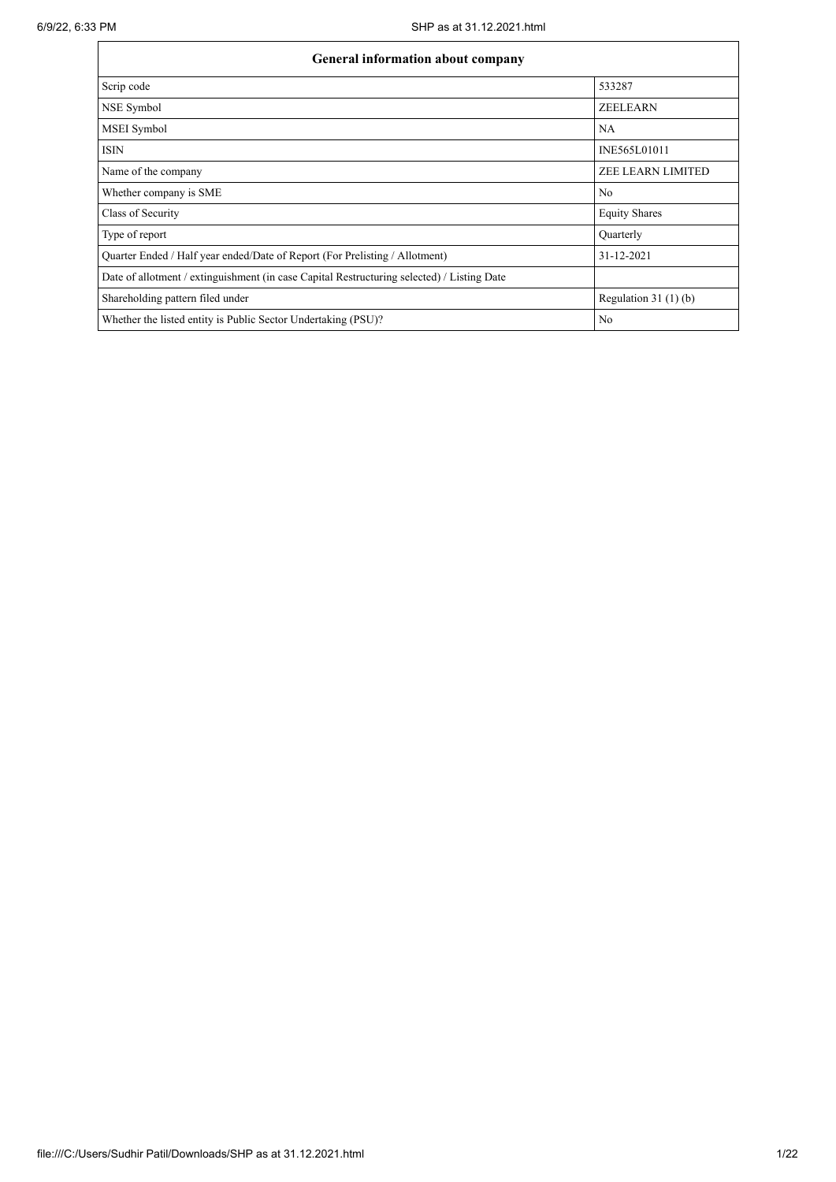| General information about company                                                          |                          |  |  |  |  |  |  |  |
|--------------------------------------------------------------------------------------------|--------------------------|--|--|--|--|--|--|--|
| Scrip code                                                                                 | 533287                   |  |  |  |  |  |  |  |
| NSE Symbol                                                                                 | <b>ZEELEARN</b>          |  |  |  |  |  |  |  |
| MSEI Symbol                                                                                | NA                       |  |  |  |  |  |  |  |
| <b>ISIN</b>                                                                                | INE565L01011             |  |  |  |  |  |  |  |
| Name of the company                                                                        | <b>ZEE LEARN LIMITED</b> |  |  |  |  |  |  |  |
| Whether company is SME                                                                     | No                       |  |  |  |  |  |  |  |
| Class of Security                                                                          | <b>Equity Shares</b>     |  |  |  |  |  |  |  |
| Type of report                                                                             | Quarterly                |  |  |  |  |  |  |  |
| Quarter Ended / Half year ended/Date of Report (For Prelisting / Allotment)                | 31-12-2021               |  |  |  |  |  |  |  |
| Date of allotment / extinguishment (in case Capital Restructuring selected) / Listing Date |                          |  |  |  |  |  |  |  |
| Shareholding pattern filed under                                                           | Regulation $31(1)(b)$    |  |  |  |  |  |  |  |
| Whether the listed entity is Public Sector Undertaking (PSU)?                              | No                       |  |  |  |  |  |  |  |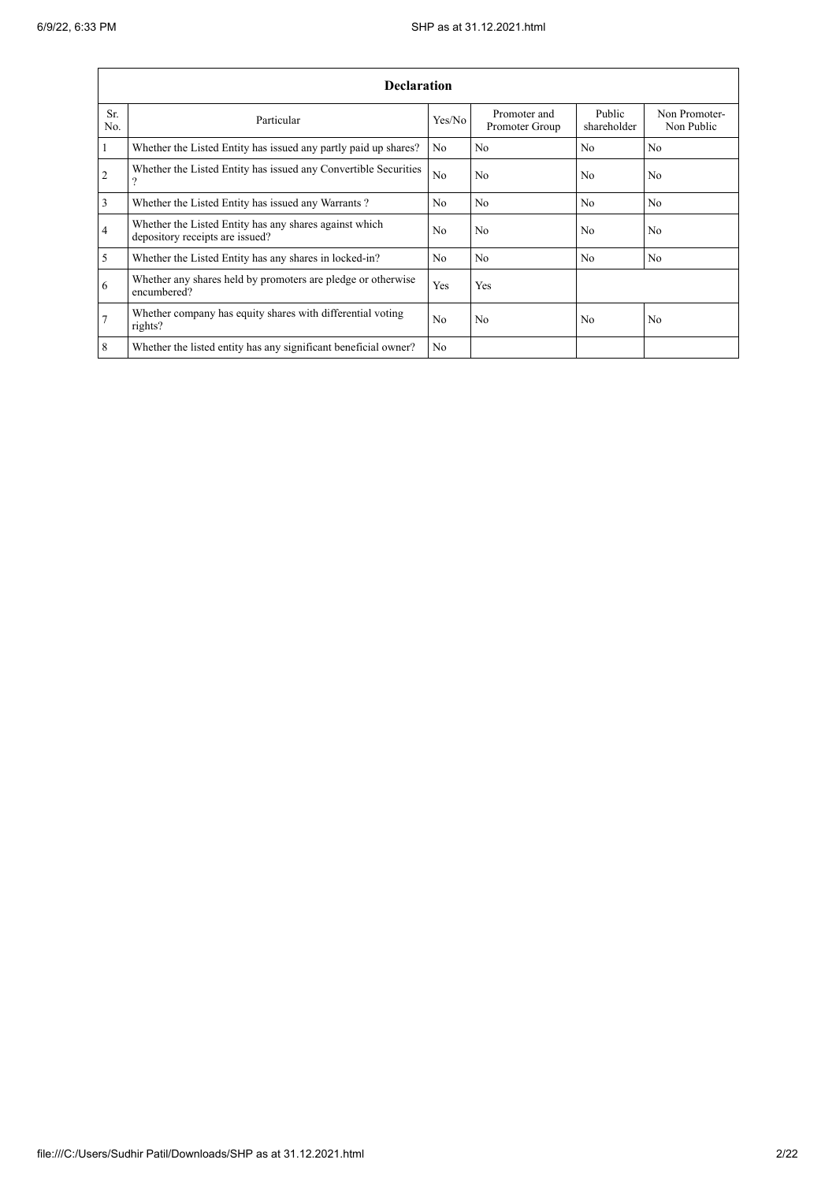$\mathbf{r}$ 

|                | <b>Declaration</b>                                                                        |                |                                |                       |                             |  |  |  |  |  |
|----------------|-------------------------------------------------------------------------------------------|----------------|--------------------------------|-----------------------|-----------------------------|--|--|--|--|--|
| Sr.<br>No.     | Particular                                                                                | Yes/No         | Promoter and<br>Promoter Group | Public<br>shareholder | Non Promoter-<br>Non Public |  |  |  |  |  |
| $\vert$ 1      | Whether the Listed Entity has issued any partly paid up shares?                           | N <sub>0</sub> | No                             | N <sub>0</sub>        | N <sub>0</sub>              |  |  |  |  |  |
| $\overline{2}$ | Whether the Listed Entity has issued any Convertible Securities<br>$\overline{?}$         | N <sub>o</sub> | No                             | N <sub>0</sub>        | N <sub>o</sub>              |  |  |  |  |  |
| $\overline{3}$ | Whether the Listed Entity has issued any Warrants?                                        | N <sub>0</sub> | No                             | No                    | No                          |  |  |  |  |  |
| 4              | Whether the Listed Entity has any shares against which<br>depository receipts are issued? | N <sub>0</sub> | No                             | No                    | N <sub>0</sub>              |  |  |  |  |  |
| $\overline{5}$ | Whether the Listed Entity has any shares in locked-in?                                    | N <sub>0</sub> | N <sub>0</sub>                 | N <sub>0</sub>        | N <sub>0</sub>              |  |  |  |  |  |
| 6              | Whether any shares held by promoters are pledge or otherwise<br>encumbered?               | Yes            | Yes                            |                       |                             |  |  |  |  |  |
| $\overline{7}$ | Whether company has equity shares with differential voting<br>rights?                     | N <sub>0</sub> | No                             | N <sub>0</sub>        | N <sub>0</sub>              |  |  |  |  |  |
| 8              | Whether the listed entity has any significant beneficial owner?                           | N <sub>o</sub> |                                |                       |                             |  |  |  |  |  |

L,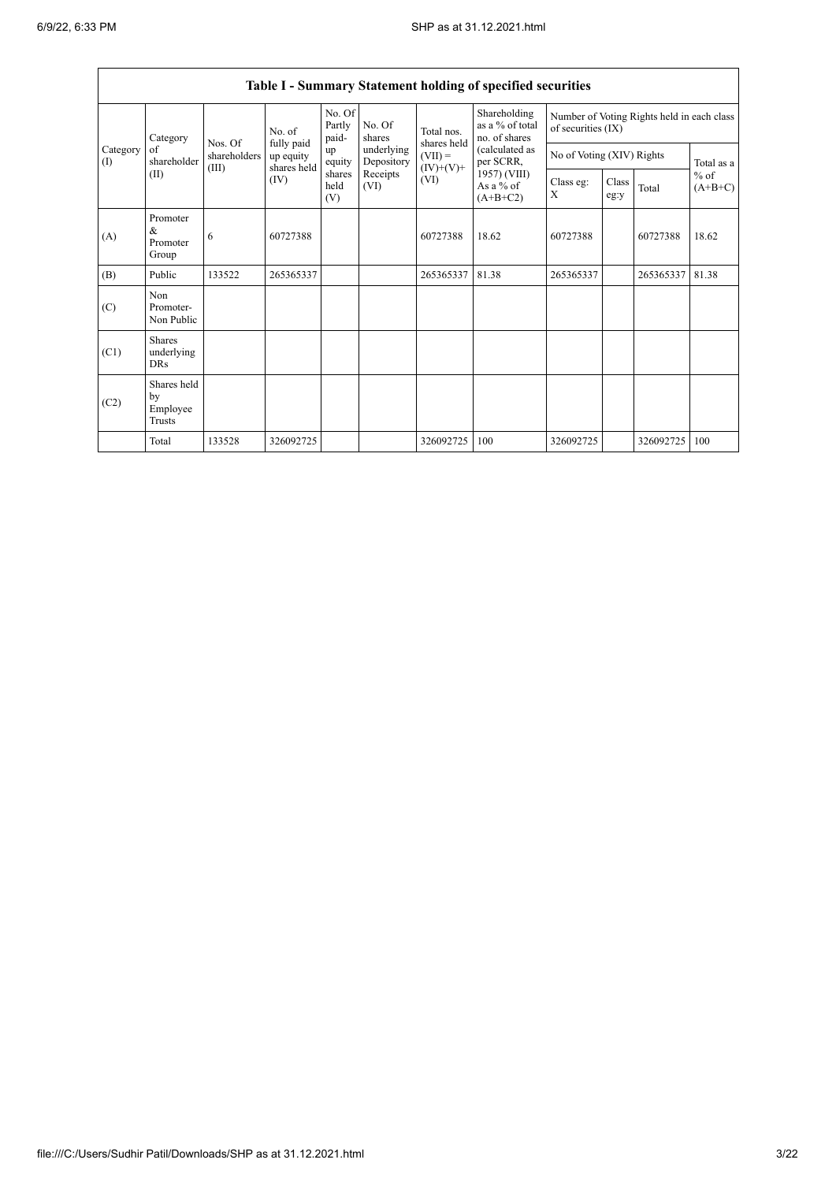|                                         |                                           |                                                                                                                                               |              |                           |                          |                             | Table I - Summary Statement holding of specified securities |                                                                  |  |            |       |
|-----------------------------------------|-------------------------------------------|-----------------------------------------------------------------------------------------------------------------------------------------------|--------------|---------------------------|--------------------------|-----------------------------|-------------------------------------------------------------|------------------------------------------------------------------|--|------------|-------|
|                                         | Category                                  |                                                                                                                                               | No. of       | No. Of<br>Partly<br>paid- | No. Of<br>shares         | Total nos.                  | Shareholding<br>as a $%$ of total<br>no. of shares          | Number of Voting Rights held in each class<br>of securities (IX) |  |            |       |
| Category<br>of<br>shareholder<br>$($ I) | Nos. Of<br>shareholders                   | fully paid<br>up equity                                                                                                                       | up<br>equity | underlying<br>Depository  | shares held<br>$(VII) =$ | (calculated as<br>per SCRR, | No of Voting (XIV) Rights                                   |                                                                  |  | Total as a |       |
|                                         | (II)                                      | shares held<br>$(IV)+(V)+$<br>(III)<br>1957) (VIII)<br>Receipts<br>shares<br>(IV)<br>(VI)<br>held<br>As a $%$ of<br>(VI)<br>(V)<br>$(A+B+C2)$ |              | Class eg:<br>X            | Class<br>eg:y            | Total                       | $%$ of<br>$(A+B+C)$                                         |                                                                  |  |            |       |
| (A)                                     | Promoter<br>&<br>Promoter<br>Group        | 6                                                                                                                                             | 60727388     |                           |                          | 60727388                    | 18.62                                                       | 60727388                                                         |  | 60727388   | 18.62 |
| (B)                                     | Public                                    | 133522                                                                                                                                        | 265365337    |                           |                          | 265365337                   | 81.38                                                       | 265365337                                                        |  | 265365337  | 81.38 |
| (C)                                     | Non<br>Promoter-<br>Non Public            |                                                                                                                                               |              |                           |                          |                             |                                                             |                                                                  |  |            |       |
| (C1)                                    | <b>Shares</b><br>underlying<br><b>DRs</b> |                                                                                                                                               |              |                           |                          |                             |                                                             |                                                                  |  |            |       |
| (C2)                                    | Shares held<br>by<br>Employee<br>Trusts   |                                                                                                                                               |              |                           |                          |                             |                                                             |                                                                  |  |            |       |
|                                         | Total                                     | 133528                                                                                                                                        | 326092725    |                           |                          | 326092725                   | 100                                                         | 326092725                                                        |  | 326092725  | 100   |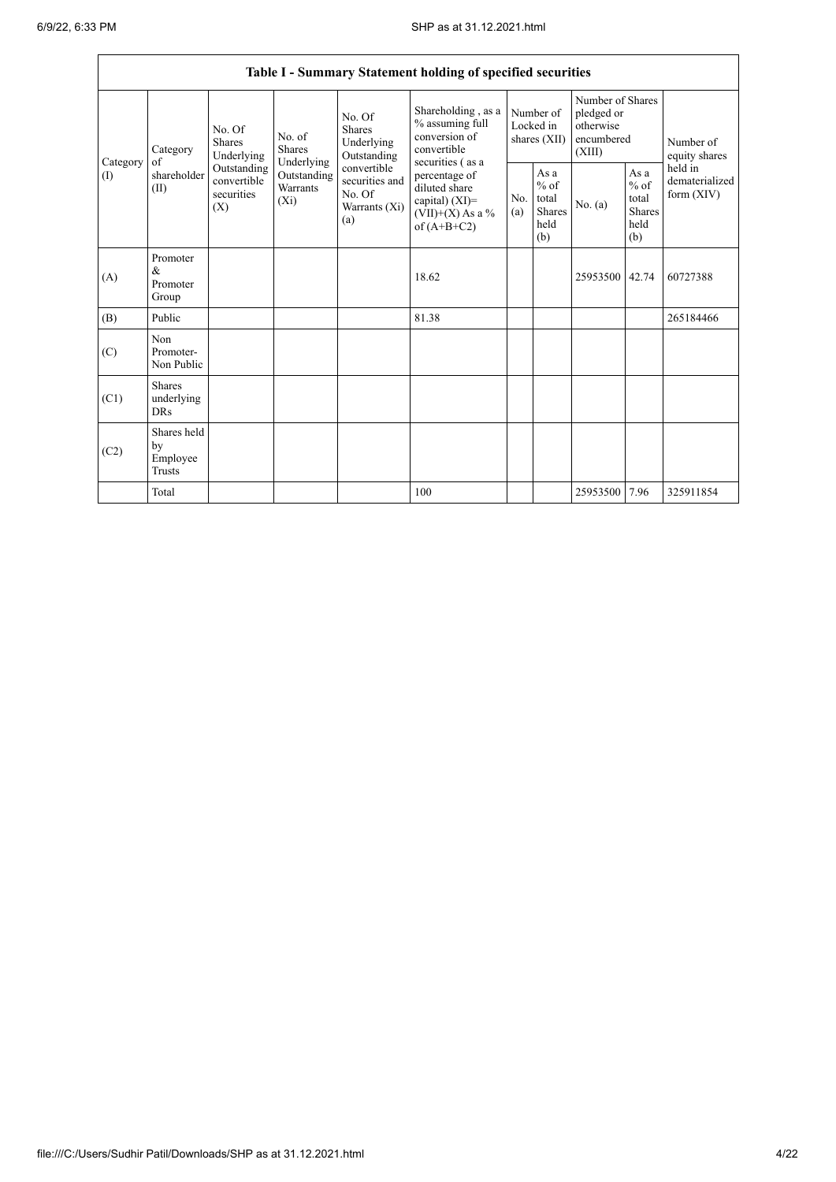|                          | Table I - Summary Statement holding of specified securities |                                                 |                                       |                                                                 |                                                                                            |                                        |                                                  |                                                                     |                                                         |                                           |  |
|--------------------------|-------------------------------------------------------------|-------------------------------------------------|---------------------------------------|-----------------------------------------------------------------|--------------------------------------------------------------------------------------------|----------------------------------------|--------------------------------------------------|---------------------------------------------------------------------|---------------------------------------------------------|-------------------------------------------|--|
|                          | Category                                                    | No. Of<br><b>Shares</b><br>Underlying           | No. of<br><b>Shares</b><br>Underlying | No. Of<br><b>Shares</b><br>Underlying<br>Outstanding            | Shareholding, as a<br>% assuming full<br>conversion of<br>convertible<br>securities (as a  | Number of<br>Locked in<br>shares (XII) |                                                  | Number of Shares<br>pledged or<br>otherwise<br>encumbered<br>(XIII) |                                                         | Number of<br>equity shares                |  |
| Category<br>$($ $\Gamma$ | of<br>shareholder<br>(II)                                   | Outstanding<br>convertible<br>securities<br>(X) | Outstanding<br>Warrants<br>$(X_i)$    | convertible<br>securities and<br>No. Of<br>Warrants (Xi)<br>(a) | percentage of<br>diluted share<br>capital) $(XI)$ =<br>$(VII)+(X)$ As a %<br>of $(A+B+C2)$ | No.<br>(a)                             | As a<br>$%$ of<br>total<br>Shares<br>held<br>(b) | No. (a)                                                             | As a<br>$%$ of<br>total<br><b>Shares</b><br>held<br>(b) | held in<br>dematerialized<br>form $(XIV)$ |  |
| (A)                      | Promoter<br>$\&$<br>Promoter<br>Group                       |                                                 |                                       |                                                                 | 18.62                                                                                      |                                        |                                                  | 25953500 42.74                                                      |                                                         | 60727388                                  |  |
| (B)                      | Public                                                      |                                                 |                                       |                                                                 | 81.38                                                                                      |                                        |                                                  |                                                                     |                                                         | 265184466                                 |  |
| (C)                      | Non<br>Promoter-<br>Non Public                              |                                                 |                                       |                                                                 |                                                                                            |                                        |                                                  |                                                                     |                                                         |                                           |  |
| (C1)                     | <b>Shares</b><br>underlying<br><b>DRs</b>                   |                                                 |                                       |                                                                 |                                                                                            |                                        |                                                  |                                                                     |                                                         |                                           |  |
| (C2)                     | Shares held<br>by<br>Employee<br><b>Trusts</b>              |                                                 |                                       |                                                                 |                                                                                            |                                        |                                                  |                                                                     |                                                         |                                           |  |
|                          | Total                                                       |                                                 |                                       |                                                                 | 100                                                                                        |                                        |                                                  | 25953500                                                            | 7.96                                                    | 325911854                                 |  |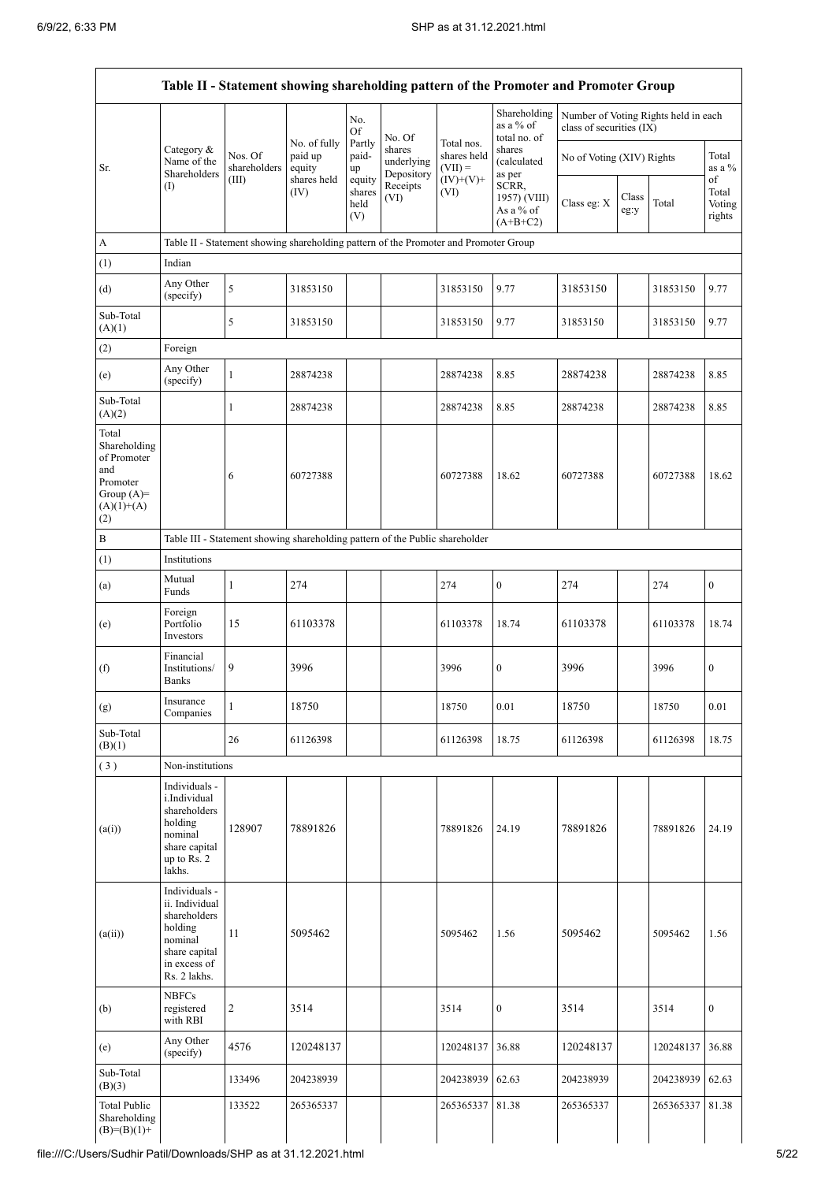|                                                                                                |                                                                                                                        |                                                                                      |                     |                                 |                                    |                          | Table II - Statement showing shareholding pattern of the Promoter and Promoter Group |                                                                  |               |           |                                 |  |
|------------------------------------------------------------------------------------------------|------------------------------------------------------------------------------------------------------------------------|--------------------------------------------------------------------------------------|---------------------|---------------------------------|------------------------------------|--------------------------|--------------------------------------------------------------------------------------|------------------------------------------------------------------|---------------|-----------|---------------------------------|--|
|                                                                                                |                                                                                                                        |                                                                                      | No. of fully        | No.<br>Of<br>Partly             | No. Of                             | Total nos.               | Shareholding<br>as a $%$ of<br>total no. of                                          | Number of Voting Rights held in each<br>class of securities (IX) |               |           |                                 |  |
| Sr.                                                                                            | Category &<br>Name of the<br>Shareholders                                                                              | Nos. Of<br>shareholders                                                              | paid up<br>equity   | paid-<br>up                     | shares<br>underlying<br>Depository | shares held<br>$(VII) =$ | shares<br>(calculated<br>as per                                                      | No of Voting (XIV) Rights                                        |               |           | Total<br>as a $\%$              |  |
|                                                                                                | (I)                                                                                                                    | (III)                                                                                | shares held<br>(IV) | equity<br>shares<br>held<br>(V) | Receipts<br>(VI)                   | $(IV)+(V)+$<br>(VI)      | SCRR,<br>1957) (VIII)<br>As a % of<br>$(A+B+C2)$                                     | Class eg: X                                                      | Class<br>eg:y | Total     | of<br>Total<br>Voting<br>rights |  |
| $\boldsymbol{\mathsf{A}}$                                                                      |                                                                                                                        | Table II - Statement showing shareholding pattern of the Promoter and Promoter Group |                     |                                 |                                    |                          |                                                                                      |                                                                  |               |           |                                 |  |
| (1)                                                                                            | Indian                                                                                                                 |                                                                                      |                     |                                 |                                    |                          |                                                                                      |                                                                  |               |           |                                 |  |
| (d)                                                                                            | Any Other<br>(specify)                                                                                                 | $\sqrt{5}$                                                                           | 31853150            |                                 |                                    | 31853150                 | 9.77                                                                                 | 31853150                                                         |               | 31853150  | 9.77                            |  |
| Sub-Total<br>(A)(1)                                                                            |                                                                                                                        | $\sqrt{5}$                                                                           | 31853150            |                                 |                                    | 31853150                 | 9.77                                                                                 | 31853150                                                         |               | 31853150  | 9.77                            |  |
| (2)                                                                                            | Foreign                                                                                                                |                                                                                      |                     |                                 |                                    |                          |                                                                                      |                                                                  |               |           |                                 |  |
| (e)                                                                                            | Any Other<br>(specify)                                                                                                 | $\mathbf{1}$                                                                         | 28874238            |                                 |                                    | 28874238                 | 8.85                                                                                 | 28874238                                                         |               | 28874238  | 8.85                            |  |
| Sub-Total<br>(A)(2)                                                                            |                                                                                                                        | $\mathbf{1}$                                                                         | 28874238            |                                 |                                    | 28874238                 | 8.85                                                                                 | 28874238                                                         |               | 28874238  | 8.85                            |  |
| Total<br>Shareholding<br>of Promoter<br>and<br>Promoter<br>Group $(A)=$<br>$(A)(1)+(A)$<br>(2) |                                                                                                                        | 6                                                                                    | 60727388            |                                 |                                    | 60727388                 | 18.62                                                                                | 60727388                                                         |               | 60727388  | 18.62                           |  |
| $\, {\bf B}$                                                                                   |                                                                                                                        | Table III - Statement showing shareholding pattern of the Public shareholder         |                     |                                 |                                    |                          |                                                                                      |                                                                  |               |           |                                 |  |
| (1)                                                                                            | Institutions                                                                                                           |                                                                                      |                     |                                 |                                    |                          |                                                                                      |                                                                  |               |           |                                 |  |
| (a)                                                                                            | Mutual<br>Funds                                                                                                        | $\mathbf{1}$                                                                         | 274                 |                                 |                                    | 274                      | $\boldsymbol{0}$                                                                     | 274                                                              |               | 274       | $\boldsymbol{0}$                |  |
| (e)                                                                                            | Foreign<br>Portfolio<br>Investors                                                                                      | 15                                                                                   | 61103378            |                                 |                                    | 61103378                 | 18.74                                                                                | 61103378                                                         |               | 61103378  | 18.74                           |  |
| (f)                                                                                            | Financial<br>Institutions/<br><b>Banks</b>                                                                             | 9                                                                                    | 3996                |                                 |                                    | 3996                     | $\boldsymbol{0}$                                                                     | 3996                                                             |               | 3996      | $\boldsymbol{0}$                |  |
| (g)                                                                                            | Insurance<br>Companies                                                                                                 | $\mathbf{1}$                                                                         | 18750               |                                 |                                    | 18750                    | $0.01\,$                                                                             | 18750                                                            |               | 18750     | $0.01\,$                        |  |
| Sub-Total<br>(B)(1)                                                                            |                                                                                                                        | 26                                                                                   | 61126398            |                                 |                                    | 61126398                 | 18.75                                                                                | 61126398                                                         |               | 61126398  | 18.75                           |  |
| (3)                                                                                            | Non-institutions                                                                                                       |                                                                                      |                     |                                 |                                    |                          |                                                                                      |                                                                  |               |           |                                 |  |
| (a(i))                                                                                         | Individuals -<br>i.Individual<br>shareholders<br>holding<br>nominal<br>share capital<br>up to Rs. 2<br>lakhs.          | 128907                                                                               | 78891826            |                                 |                                    | 78891826                 | 24.19                                                                                | 78891826                                                         |               | 78891826  | 24.19                           |  |
| (a(ii))                                                                                        | Individuals -<br>ii. Individual<br>shareholders<br>holding<br>nominal<br>share capital<br>in excess of<br>Rs. 2 lakhs. | 11                                                                                   | 5095462             |                                 |                                    | 5095462                  | 1.56                                                                                 | 5095462                                                          |               | 5095462   | 1.56                            |  |
| (b)                                                                                            | <b>NBFCs</b><br>registered<br>with RBI                                                                                 | $\sqrt{2}$                                                                           | 3514                |                                 |                                    | 3514                     | $\boldsymbol{0}$                                                                     | 3514                                                             |               | 3514      | $\boldsymbol{0}$                |  |
| (e)                                                                                            | Any Other<br>(specify)                                                                                                 | 4576                                                                                 | 120248137           |                                 |                                    | 120248137                | 36.88                                                                                | 120248137                                                        |               | 120248137 | 36.88                           |  |
| Sub-Total<br>(B)(3)                                                                            |                                                                                                                        | 133496                                                                               | 204238939           |                                 |                                    | 204238939                | 62.63                                                                                | 204238939                                                        |               | 204238939 | 62.63                           |  |
| <b>Total Public</b><br>Shareholding<br>$(B)=(B)(1)+$                                           |                                                                                                                        | 133522                                                                               | 265365337           |                                 |                                    | 265365337                | 81.38                                                                                | 265365337                                                        |               | 265365337 | 81.38                           |  |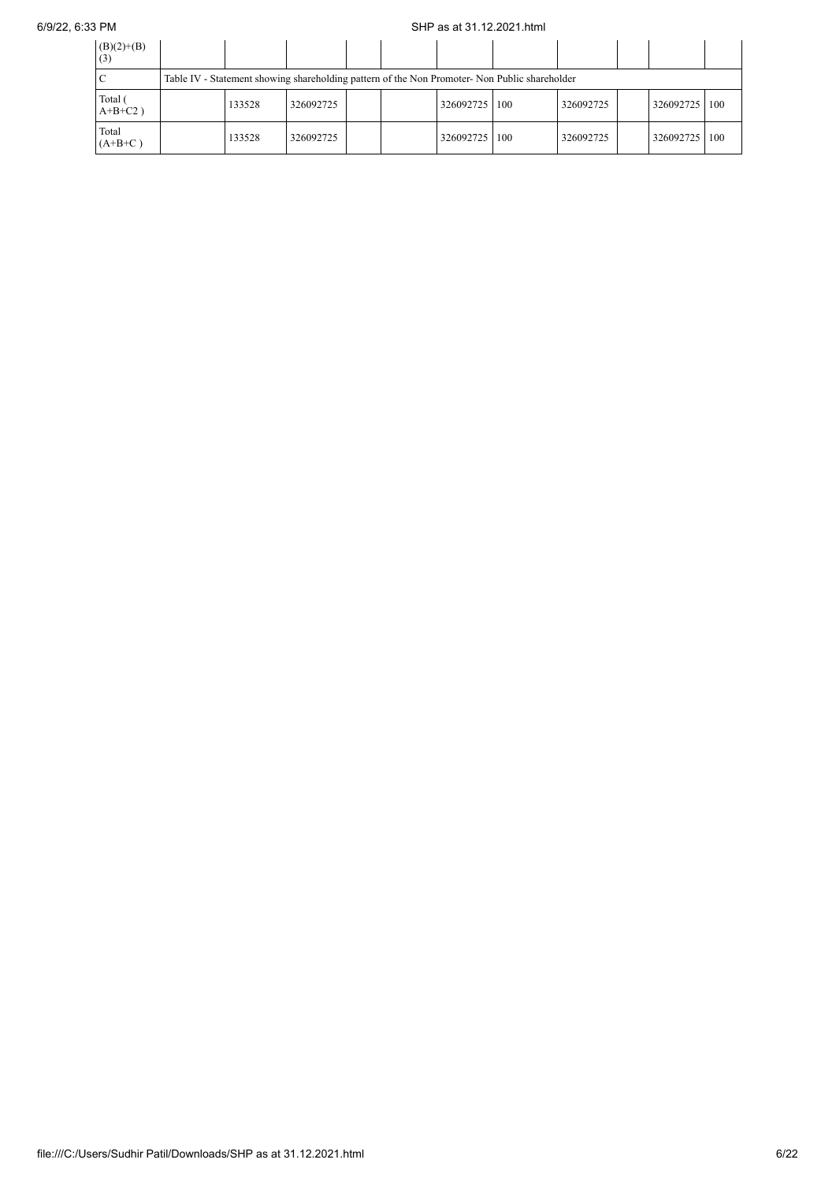## 6/9/22, 6:33 PM SHP as at 31.12.2021.html

| $(B)(2)+(B)$<br>(3)   |                                                                                               |           |  |  |           |     |           |  |           |     |
|-----------------------|-----------------------------------------------------------------------------------------------|-----------|--|--|-----------|-----|-----------|--|-----------|-----|
|                       | Table IV - Statement showing shareholding pattern of the Non Promoter- Non Public shareholder |           |  |  |           |     |           |  |           |     |
| Total (<br>$A+B+C2$ ) | 133528                                                                                        | 326092725 |  |  | 326092725 | 100 | 326092725 |  | 326092725 | 100 |
| Total<br>$(A+B+C)$    | 133528                                                                                        | 326092725 |  |  | 326092725 | 100 | 326092725 |  | 326092725 | 100 |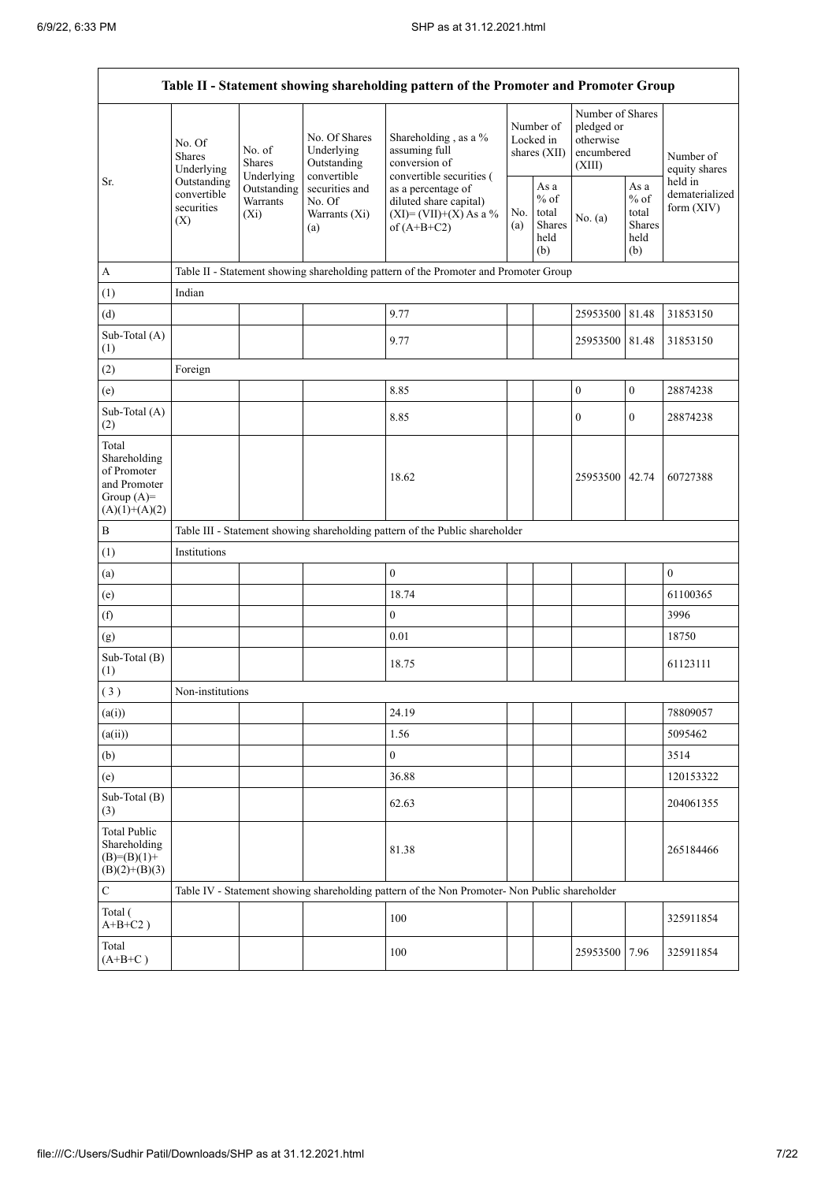.

|                                                                                         |                                                 |                                       |                                                           | Table II - Statement showing shareholding pattern of the Promoter and Promoter Group                     |  |                                                  |                                                                     |                                                         |                                       |
|-----------------------------------------------------------------------------------------|-------------------------------------------------|---------------------------------------|-----------------------------------------------------------|----------------------------------------------------------------------------------------------------------|--|--------------------------------------------------|---------------------------------------------------------------------|---------------------------------------------------------|---------------------------------------|
|                                                                                         | No. Of<br><b>Shares</b><br>Underlying           | No. of<br><b>Shares</b><br>Underlying | No. Of Shares<br>Underlying<br>Outstanding<br>convertible | Shareholding, as a %<br>assuming full<br>conversion of<br>convertible securities (                       |  | Number of<br>Locked in<br>shares $(XII)$         | Number of Shares<br>pledged or<br>otherwise<br>encumbered<br>(XIII) |                                                         | Number of<br>equity shares<br>held in |
| Sr.                                                                                     | Outstanding<br>convertible<br>securities<br>(X) | Outstanding<br>Warrants<br>$(X_i)$    | securities and<br>No. Of<br>Warrants (Xi)<br>(a)          | as a percentage of<br>diluted share capital)<br>No.<br>$(XI) = (VII)+(X) As a %$<br>(a)<br>of $(A+B+C2)$ |  | As a<br>$%$ of<br>total<br>Shares<br>held<br>(b) | No. (a)                                                             | As a<br>$%$ of<br>total<br><b>Shares</b><br>held<br>(b) | dematerialized<br>form $(XIV)$        |
| A                                                                                       |                                                 |                                       |                                                           | Table II - Statement showing shareholding pattern of the Promoter and Promoter Group                     |  |                                                  |                                                                     |                                                         |                                       |
| (1)                                                                                     | Indian                                          |                                       |                                                           |                                                                                                          |  |                                                  |                                                                     |                                                         |                                       |
| (d)                                                                                     |                                                 |                                       |                                                           | 9.77                                                                                                     |  |                                                  | 25953500                                                            | 81.48                                                   | 31853150                              |
| Sub-Total (A)<br>(1)                                                                    |                                                 |                                       |                                                           | 9.77                                                                                                     |  |                                                  | 25953500 81.48                                                      |                                                         | 31853150                              |
| (2)                                                                                     | Foreign                                         |                                       |                                                           |                                                                                                          |  |                                                  |                                                                     |                                                         |                                       |
| (e)                                                                                     |                                                 |                                       |                                                           | 8.85                                                                                                     |  |                                                  | $\boldsymbol{0}$                                                    | $\boldsymbol{0}$                                        | 28874238                              |
| Sub-Total (A)<br>(2)                                                                    |                                                 |                                       |                                                           | 8.85                                                                                                     |  |                                                  | $\boldsymbol{0}$                                                    | $\overline{0}$                                          | 28874238                              |
| Total<br>Shareholding<br>of Promoter<br>and Promoter<br>Group $(A)=$<br>$(A)(1)+(A)(2)$ |                                                 |                                       |                                                           | 18.62                                                                                                    |  |                                                  | 25953500 42.74                                                      |                                                         | 60727388                              |
| $\, {\bf B}$                                                                            |                                                 |                                       |                                                           | Table III - Statement showing shareholding pattern of the Public shareholder                             |  |                                                  |                                                                     |                                                         |                                       |
| (1)                                                                                     | Institutions                                    |                                       |                                                           |                                                                                                          |  |                                                  |                                                                     |                                                         |                                       |
| (a)                                                                                     |                                                 |                                       |                                                           | $\mathbf{0}$                                                                                             |  |                                                  |                                                                     |                                                         | $\boldsymbol{0}$                      |
| (e)                                                                                     |                                                 |                                       |                                                           | 18.74                                                                                                    |  |                                                  |                                                                     |                                                         | 61100365                              |
| (f)                                                                                     |                                                 |                                       |                                                           | $\mathbf{0}$                                                                                             |  |                                                  |                                                                     |                                                         | 3996                                  |
| (g)                                                                                     |                                                 |                                       |                                                           | 0.01                                                                                                     |  |                                                  |                                                                     |                                                         | 18750                                 |
| Sub-Total (B)<br>(1)                                                                    |                                                 |                                       |                                                           | 18.75                                                                                                    |  |                                                  |                                                                     |                                                         | 61123111                              |
| (3)                                                                                     | Non-institutions                                |                                       |                                                           |                                                                                                          |  |                                                  |                                                                     |                                                         |                                       |
| (a(i))                                                                                  |                                                 |                                       |                                                           | 24.19                                                                                                    |  |                                                  |                                                                     |                                                         | 78809057                              |
| (a(ii))                                                                                 |                                                 |                                       |                                                           | 1.56                                                                                                     |  |                                                  |                                                                     |                                                         | 5095462                               |
| (b)                                                                                     |                                                 |                                       |                                                           | $\overline{0}$                                                                                           |  |                                                  |                                                                     |                                                         | 3514                                  |
| (e)                                                                                     |                                                 |                                       |                                                           | 36.88                                                                                                    |  |                                                  |                                                                     |                                                         | 120153322                             |
| Sub-Total (B)<br>(3)                                                                    |                                                 |                                       |                                                           | 62.63                                                                                                    |  |                                                  |                                                                     |                                                         | 204061355                             |
| <b>Total Public</b><br>Shareholding<br>$(B)= (B)(1) +$<br>$(B)(2)+(B)(3)$               |                                                 |                                       |                                                           | 81.38                                                                                                    |  |                                                  |                                                                     |                                                         | 265184466                             |
| $\mathbf C$                                                                             |                                                 |                                       |                                                           | Table IV - Statement showing shareholding pattern of the Non Promoter- Non Public shareholder            |  |                                                  |                                                                     |                                                         |                                       |
| Total (<br>$A+B+C2$ )                                                                   |                                                 |                                       |                                                           | 100                                                                                                      |  |                                                  |                                                                     |                                                         | 325911854                             |
| Total<br>$(A+B+C)$                                                                      |                                                 |                                       |                                                           | 100                                                                                                      |  |                                                  | 25953500 7.96                                                       |                                                         | 325911854                             |

L,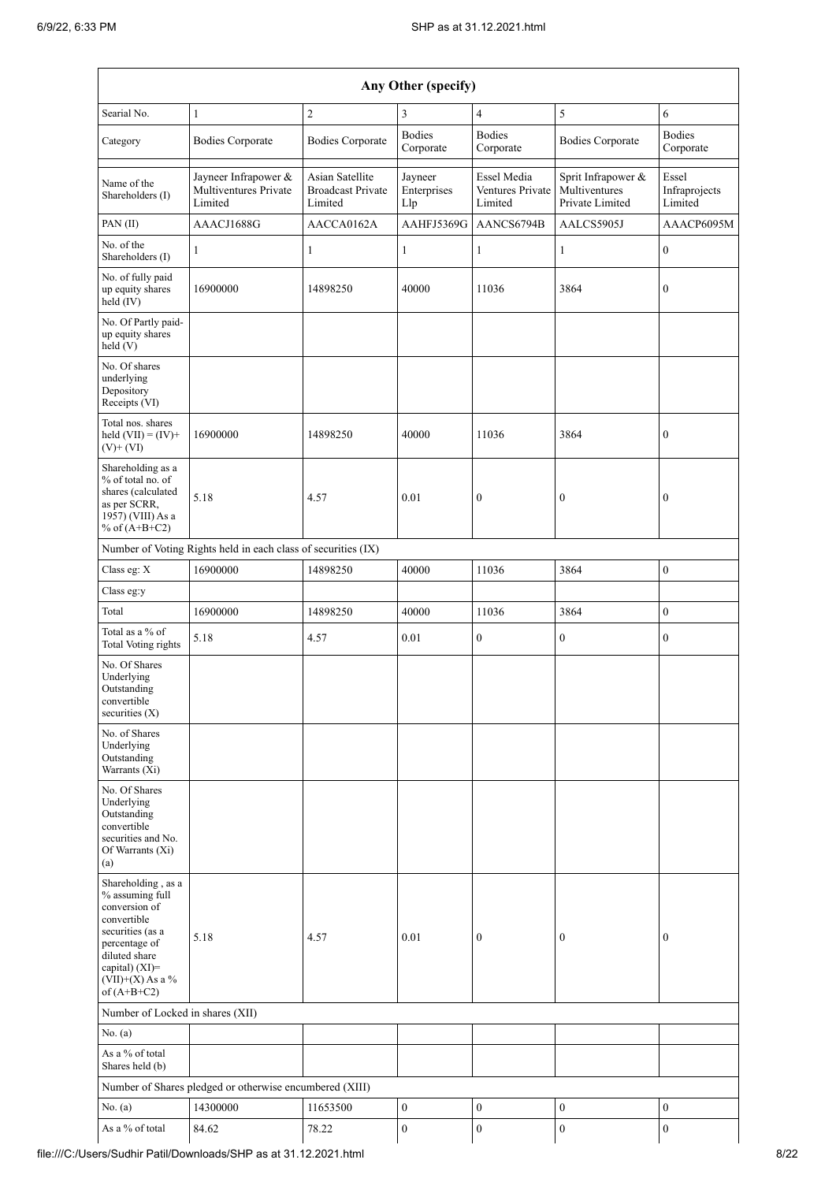| Any Other (specify)                                                                                                                                                                  |                                                          |                                                               |                               |                                            |                                                        |                                   |  |  |  |  |
|--------------------------------------------------------------------------------------------------------------------------------------------------------------------------------------|----------------------------------------------------------|---------------------------------------------------------------|-------------------------------|--------------------------------------------|--------------------------------------------------------|-----------------------------------|--|--|--|--|
| Searial No.                                                                                                                                                                          | $\mathbf{1}$                                             | $\overline{c}$                                                | 3                             | $\overline{4}$                             | 5                                                      | 6                                 |  |  |  |  |
| Category                                                                                                                                                                             | <b>Bodies Corporate</b>                                  | <b>Bodies Corporate</b>                                       | <b>Bodies</b><br>Corporate    | <b>Bodies</b><br>Corporate                 | <b>Bodies Corporate</b>                                | <b>Bodies</b><br>Corporate        |  |  |  |  |
| Name of the<br>Shareholders (I)                                                                                                                                                      | Jayneer Infrapower &<br>Multiventures Private<br>Limited | <b>Asian Satellite</b><br><b>Broadcast Private</b><br>Limited | Jayneer<br>Enterprises<br>Llp | Essel Media<br>Ventures Private<br>Limited | Sprit Infrapower &<br>Multiventures<br>Private Limited | Essel<br>Infraprojects<br>Limited |  |  |  |  |
| PAN (II)                                                                                                                                                                             | AAACJ1688G                                               | AACCA0162A                                                    | AAHFJ5369G                    | AANCS6794B                                 | AALCS5905J                                             | AAACP6095M                        |  |  |  |  |
| No. of the<br>Shareholders (I)                                                                                                                                                       | $\mathbf{1}$                                             | 1                                                             | $\mathbf{1}$                  | $\mathbf{1}$                               | $\mathbf{1}$                                           | $\mathbf{0}$                      |  |  |  |  |
| No. of fully paid<br>up equity shares<br>$held$ $(V)$                                                                                                                                | 16900000                                                 | 14898250                                                      | 40000                         | 11036                                      | 3864                                                   | $\boldsymbol{0}$                  |  |  |  |  |
| No. Of Partly paid-<br>up equity shares<br>held (V)                                                                                                                                  |                                                          |                                                               |                               |                                            |                                                        |                                   |  |  |  |  |
| No. Of shares<br>underlying<br>Depository<br>Receipts (VI)                                                                                                                           |                                                          |                                                               |                               |                                            |                                                        |                                   |  |  |  |  |
| Total nos. shares<br>held $(VII) = (IV) +$<br>$(V)$ + $(VI)$                                                                                                                         | 16900000                                                 | 14898250                                                      | 40000                         | 11036                                      | 3864                                                   | $\boldsymbol{0}$                  |  |  |  |  |
| Shareholding as a<br>% of total no. of<br>shares (calculated<br>as per SCRR,<br>1957) (VIII) As a<br>% of $(A+B+C2)$                                                                 | 5.18                                                     | 4.57                                                          | 0.01                          | $\boldsymbol{0}$                           | $\boldsymbol{0}$                                       | $\boldsymbol{0}$                  |  |  |  |  |
| Number of Voting Rights held in each class of securities (IX)                                                                                                                        |                                                          |                                                               |                               |                                            |                                                        |                                   |  |  |  |  |
| Class eg: X                                                                                                                                                                          | 16900000                                                 | 14898250                                                      | 40000                         | 11036                                      | 3864                                                   | $\boldsymbol{0}$                  |  |  |  |  |
| Class eg:y                                                                                                                                                                           |                                                          |                                                               |                               |                                            |                                                        |                                   |  |  |  |  |
| Total                                                                                                                                                                                | 16900000                                                 | 14898250                                                      | 40000                         | 11036                                      | 3864                                                   | $\boldsymbol{0}$                  |  |  |  |  |
| Total as a % of<br><b>Total Voting rights</b>                                                                                                                                        | 5.18                                                     | 4.57                                                          | 0.01                          | $\boldsymbol{0}$                           | $\boldsymbol{0}$                                       | $\boldsymbol{0}$                  |  |  |  |  |
| No. Of Shares<br>Underlying<br>Outstanding<br>convertible<br>securities $(X)$                                                                                                        |                                                          |                                                               |                               |                                            |                                                        |                                   |  |  |  |  |
| No. of Shares<br>Underlying<br>Outstanding<br>Warrants (Xi)                                                                                                                          |                                                          |                                                               |                               |                                            |                                                        |                                   |  |  |  |  |
| No. Of Shares<br>Underlying<br>Outstanding<br>convertible<br>securities and No.<br>Of Warrants (Xi)<br>(a)                                                                           |                                                          |                                                               |                               |                                            |                                                        |                                   |  |  |  |  |
| Shareholding, as a<br>% assuming full<br>conversion of<br>convertible<br>securities (as a<br>percentage of<br>diluted share<br>capital) (XI)=<br>$(VII)+(X)$ As a %<br>of $(A+B+C2)$ | 5.18                                                     | 4.57                                                          | 0.01                          | $\mathbf{0}$                               | $\mathbf{0}$                                           | $\mathbf{0}$                      |  |  |  |  |
| Number of Locked in shares (XII)                                                                                                                                                     |                                                          |                                                               |                               |                                            |                                                        |                                   |  |  |  |  |
| No. (a)                                                                                                                                                                              |                                                          |                                                               |                               |                                            |                                                        |                                   |  |  |  |  |
| As a % of total<br>Shares held (b)                                                                                                                                                   |                                                          |                                                               |                               |                                            |                                                        |                                   |  |  |  |  |
|                                                                                                                                                                                      | Number of Shares pledged or otherwise encumbered (XIII)  |                                                               |                               |                                            |                                                        |                                   |  |  |  |  |
| No. (a)                                                                                                                                                                              | 14300000                                                 | 11653500                                                      | $\boldsymbol{0}$              | $\boldsymbol{0}$                           | $\boldsymbol{0}$                                       | $\boldsymbol{0}$                  |  |  |  |  |
| As a % of total                                                                                                                                                                      | 84.62                                                    | 78.22                                                         | $\boldsymbol{0}$              | $\boldsymbol{0}$                           | $\boldsymbol{0}$                                       | $\boldsymbol{0}$                  |  |  |  |  |
|                                                                                                                                                                                      |                                                          |                                                               |                               |                                            |                                                        |                                   |  |  |  |  |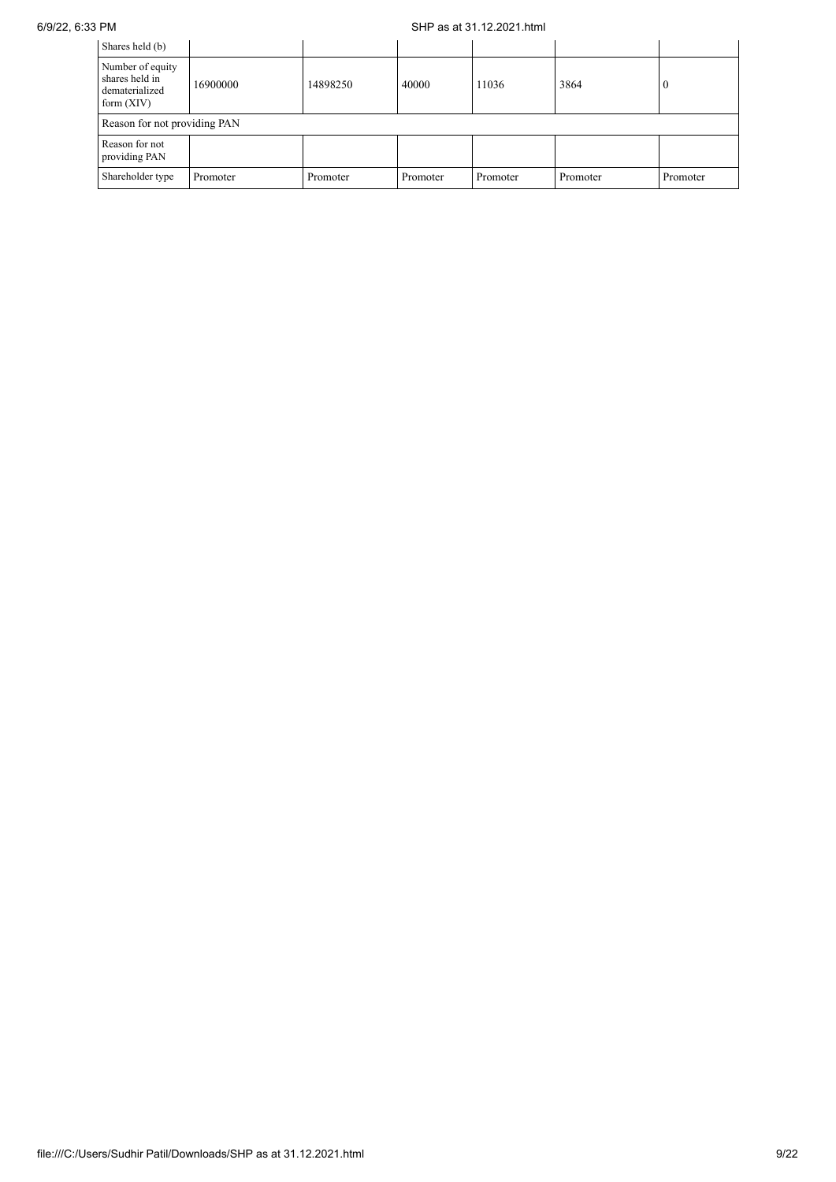## 6/9/22, 6:33 PM SHP as at 31.12.2021.html

| Shares held (b)                                                      |          |          |          |          |          |          |
|----------------------------------------------------------------------|----------|----------|----------|----------|----------|----------|
| Number of equity<br>shares held in<br>dematerialized<br>form $(XIV)$ | 16900000 | 14898250 | 40000    | 11036    | 3864     | $\theta$ |
| Reason for not providing PAN                                         |          |          |          |          |          |          |
| Reason for not<br>providing PAN                                      |          |          |          |          |          |          |
| Shareholder type                                                     | Promoter | Promoter | Promoter | Promoter | Promoter | Promoter |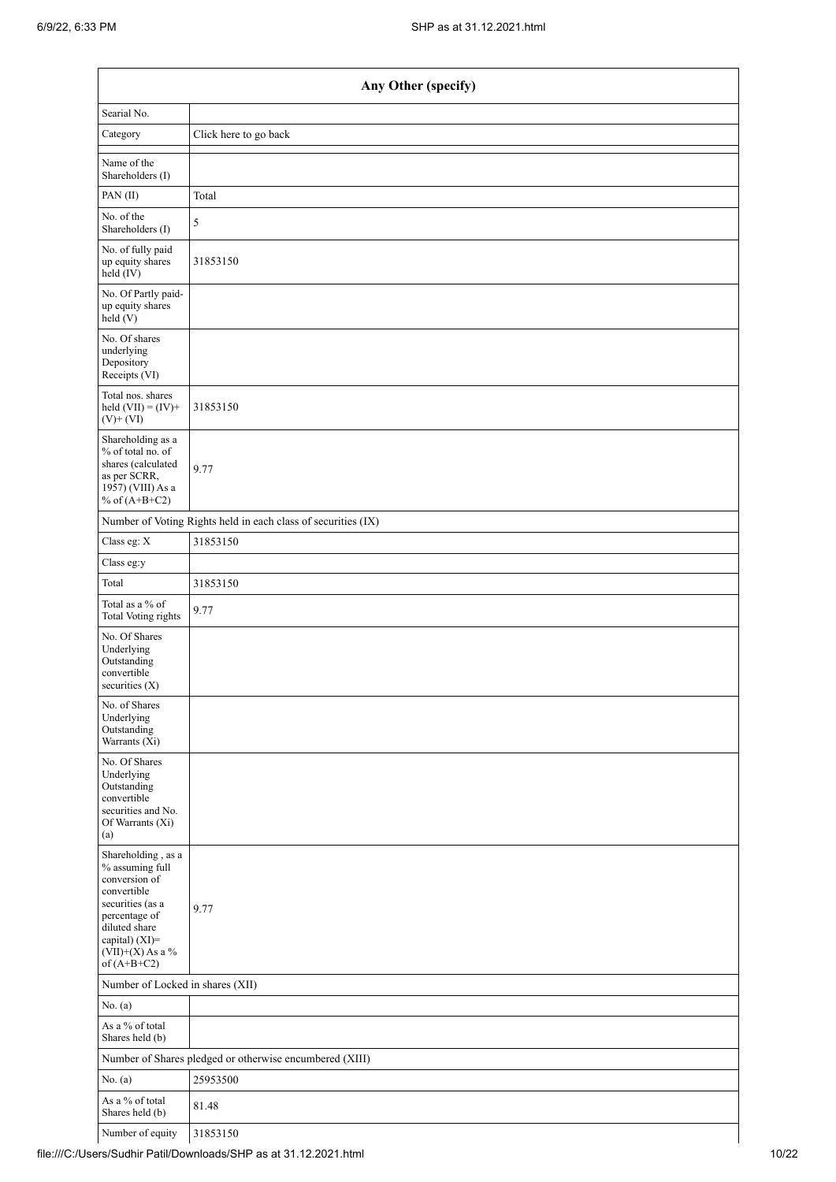$\mathbf{r}$ 

|                                                                                                                                                                                      | Any Other (specify)                                           |
|--------------------------------------------------------------------------------------------------------------------------------------------------------------------------------------|---------------------------------------------------------------|
| Searial No.                                                                                                                                                                          |                                                               |
| Category                                                                                                                                                                             | Click here to go back                                         |
| Name of the<br>Shareholders (I)                                                                                                                                                      |                                                               |
| PAN(II)                                                                                                                                                                              | Total                                                         |
| No. of the<br>Shareholders (I)                                                                                                                                                       | 5                                                             |
| No. of fully paid<br>up equity shares<br>$held$ (IV)                                                                                                                                 | 31853150                                                      |
| No. Of Partly paid-<br>up equity shares<br>held(V)                                                                                                                                   |                                                               |
| No. Of shares<br>underlying<br>Depository<br>Receipts (VI)                                                                                                                           |                                                               |
| Total nos. shares<br>held $(VII) = (IV) +$<br>$(V)$ + $(VI)$                                                                                                                         | 31853150                                                      |
| Shareholding as a<br>% of total no. of<br>shares (calculated<br>as per SCRR,<br>1957) (VIII) As a<br>% of $(A+B+C2)$                                                                 | 9.77                                                          |
|                                                                                                                                                                                      | Number of Voting Rights held in each class of securities (IX) |
| Class eg: X                                                                                                                                                                          | 31853150                                                      |
| Class eg:y                                                                                                                                                                           |                                                               |
| Total                                                                                                                                                                                | 31853150                                                      |
| Total as a % of<br>Total Voting rights                                                                                                                                               | 9.77                                                          |
| No. Of Shares<br>Underlying<br>Outstanding<br>convertible<br>securities $(X)$                                                                                                        |                                                               |
| No. of Shares<br>Underlying<br>Outstanding<br>Warrants (Xi)                                                                                                                          |                                                               |
| No. Of Shares<br>Underlying<br>Outstanding<br>convertible<br>securities and No.<br>Of Warrants (Xi)<br>(a)                                                                           |                                                               |
| Shareholding, as a<br>% assuming full<br>conversion of<br>convertible<br>securities (as a<br>percentage of<br>diluted share<br>capital) (XI)=<br>$(VII)+(X)$ As a %<br>of $(A+B+C2)$ | 9.77                                                          |
| Number of Locked in shares (XII)                                                                                                                                                     |                                                               |
| No. (a)                                                                                                                                                                              |                                                               |
| As a % of total<br>Shares held (b)                                                                                                                                                   |                                                               |
|                                                                                                                                                                                      | Number of Shares pledged or otherwise encumbered (XIII)       |
| No. (a)                                                                                                                                                                              | 25953500                                                      |
| As a % of total<br>Shares held (b)                                                                                                                                                   | 81.48                                                         |
| Number of equity                                                                                                                                                                     | 31853150                                                      |

 $\overline{\mathbf{1}}$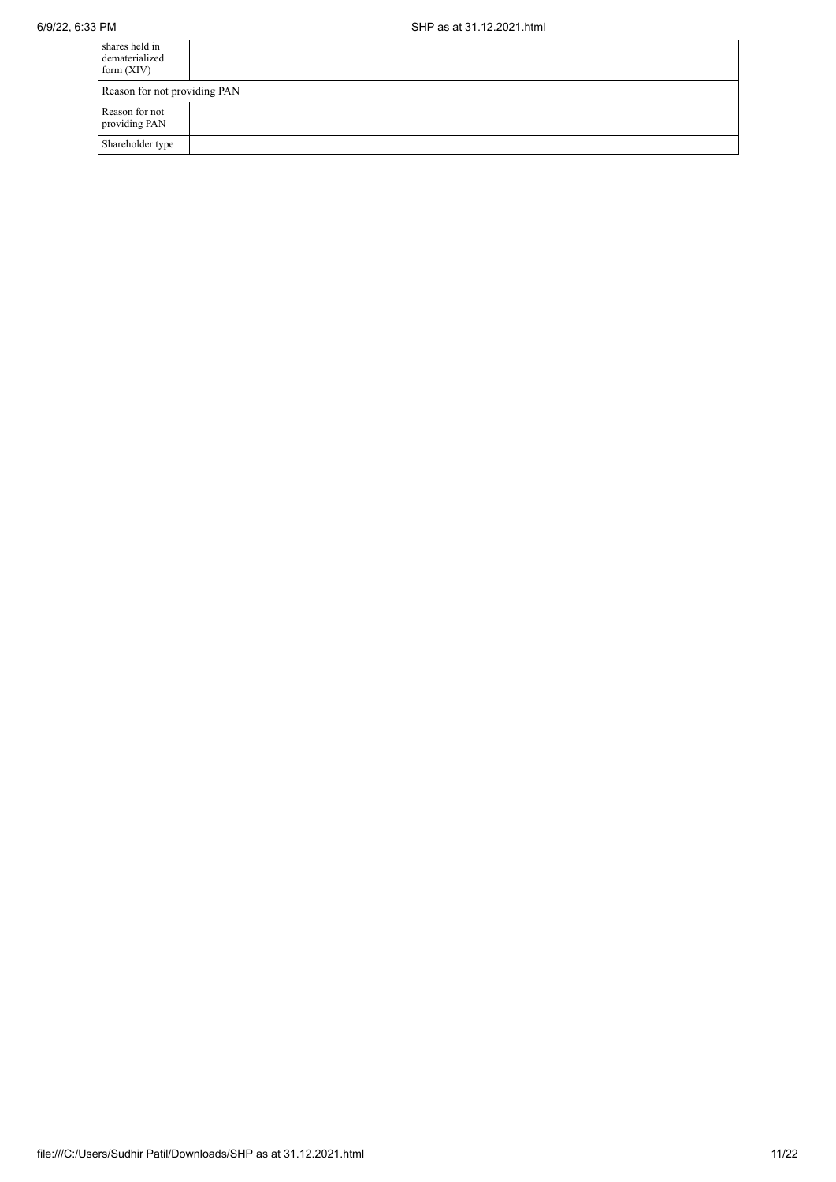| shares held in<br>dematerialized<br>form $(XIV)$ |  |  |  |
|--------------------------------------------------|--|--|--|
| Reason for not providing PAN                     |  |  |  |
| Reason for not<br>providing PAN                  |  |  |  |
| Shareholder type                                 |  |  |  |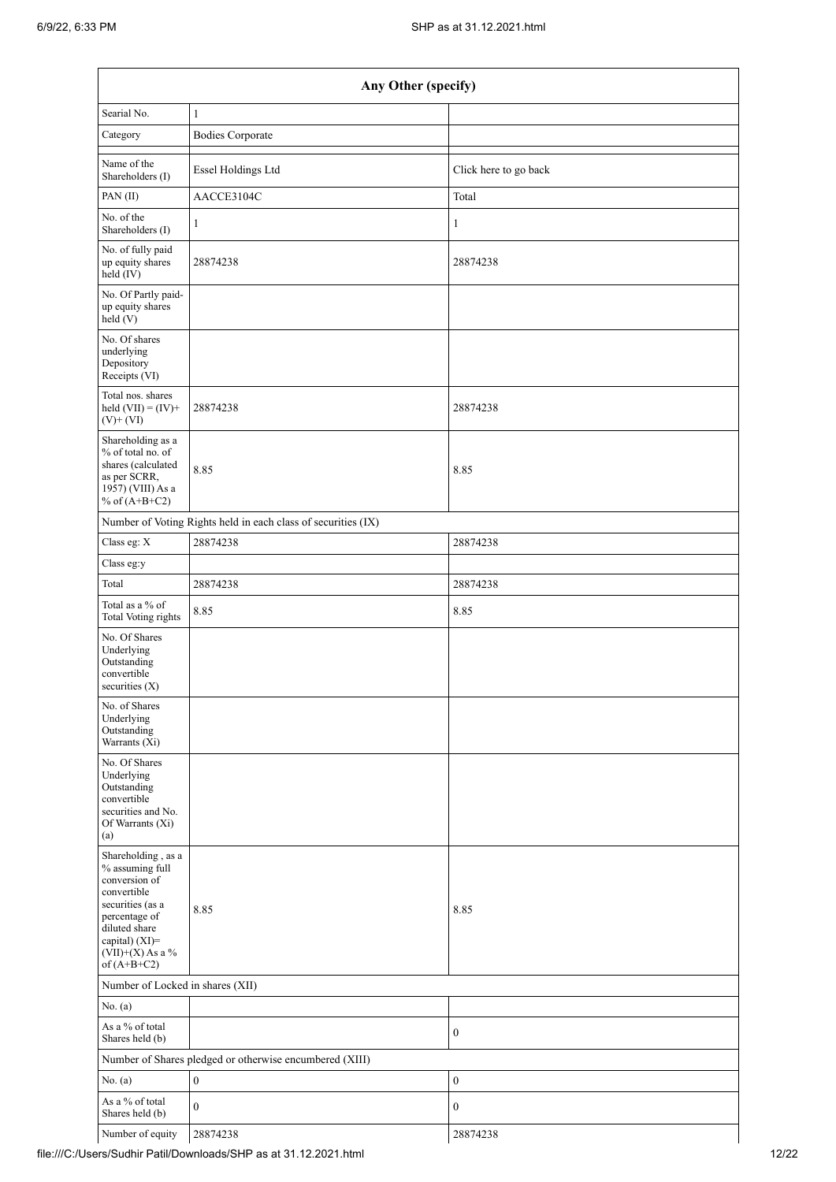| Any Other (specify)                                                                                                                                                                  |                                                               |                       |  |  |  |  |  |  |
|--------------------------------------------------------------------------------------------------------------------------------------------------------------------------------------|---------------------------------------------------------------|-----------------------|--|--|--|--|--|--|
| Searial No.                                                                                                                                                                          | $\mathbf{1}$                                                  |                       |  |  |  |  |  |  |
| Category                                                                                                                                                                             | <b>Bodies Corporate</b>                                       |                       |  |  |  |  |  |  |
| Name of the<br>Shareholders (I)                                                                                                                                                      | Essel Holdings Ltd                                            | Click here to go back |  |  |  |  |  |  |
| PAN(II)                                                                                                                                                                              | AACCE3104C                                                    | Total                 |  |  |  |  |  |  |
| No. of the<br>Shareholders (I)                                                                                                                                                       | $\mathbf{1}$                                                  | $\mathbf{1}$          |  |  |  |  |  |  |
| No. of fully paid<br>up equity shares<br>held $(IV)$                                                                                                                                 | 28874238                                                      | 28874238              |  |  |  |  |  |  |
| No. Of Partly paid-<br>up equity shares<br>held (V)                                                                                                                                  |                                                               |                       |  |  |  |  |  |  |
| No. Of shares<br>underlying<br>Depository<br>Receipts (VI)                                                                                                                           |                                                               |                       |  |  |  |  |  |  |
| Total nos. shares<br>held $(VII) = (IV) +$<br>$(V)$ + $(VI)$                                                                                                                         | 28874238                                                      | 28874238              |  |  |  |  |  |  |
| Shareholding as a<br>% of total no. of<br>shares (calculated<br>as per SCRR,<br>1957) (VIII) As a<br>% of $(A+B+C2)$                                                                 | 8.85                                                          | 8.85                  |  |  |  |  |  |  |
|                                                                                                                                                                                      | Number of Voting Rights held in each class of securities (IX) |                       |  |  |  |  |  |  |
| Class eg: X                                                                                                                                                                          | 28874238                                                      | 28874238              |  |  |  |  |  |  |
| Class eg:y                                                                                                                                                                           |                                                               |                       |  |  |  |  |  |  |
| Total                                                                                                                                                                                | 28874238                                                      | 28874238              |  |  |  |  |  |  |
| Total as a % of<br>Total Voting rights                                                                                                                                               | 8.85                                                          | 8.85                  |  |  |  |  |  |  |
| No. Of Shares<br>Underlying<br>Outstanding<br>convertible<br>securities (X)                                                                                                          |                                                               |                       |  |  |  |  |  |  |
| No. of Shares<br>Underlying<br>Outstanding<br>Warrants (Xi)                                                                                                                          |                                                               |                       |  |  |  |  |  |  |
| No. Of Shares<br>Underlying<br>Outstanding<br>convertible<br>securities and No.<br>Of Warrants (Xi)<br>(a)                                                                           |                                                               |                       |  |  |  |  |  |  |
| Shareholding, as a<br>% assuming full<br>conversion of<br>convertible<br>securities (as a<br>percentage of<br>diluted share<br>capital) (XI)=<br>$(VII)+(X)$ As a %<br>of $(A+B+C2)$ | 8.85                                                          | 8.85                  |  |  |  |  |  |  |
|                                                                                                                                                                                      | Number of Locked in shares (XII)                              |                       |  |  |  |  |  |  |
| No. (a)                                                                                                                                                                              |                                                               |                       |  |  |  |  |  |  |
| As a % of total<br>Shares held (b)                                                                                                                                                   |                                                               | $\boldsymbol{0}$      |  |  |  |  |  |  |
|                                                                                                                                                                                      | Number of Shares pledged or otherwise encumbered (XIII)       |                       |  |  |  |  |  |  |
| No. (a)                                                                                                                                                                              | $\boldsymbol{0}$                                              | $\boldsymbol{0}$      |  |  |  |  |  |  |
| As a % of total<br>Shares held (b)                                                                                                                                                   | $\boldsymbol{0}$                                              | $\boldsymbol{0}$      |  |  |  |  |  |  |
| Number of equity                                                                                                                                                                     | 28874238                                                      | 28874238              |  |  |  |  |  |  |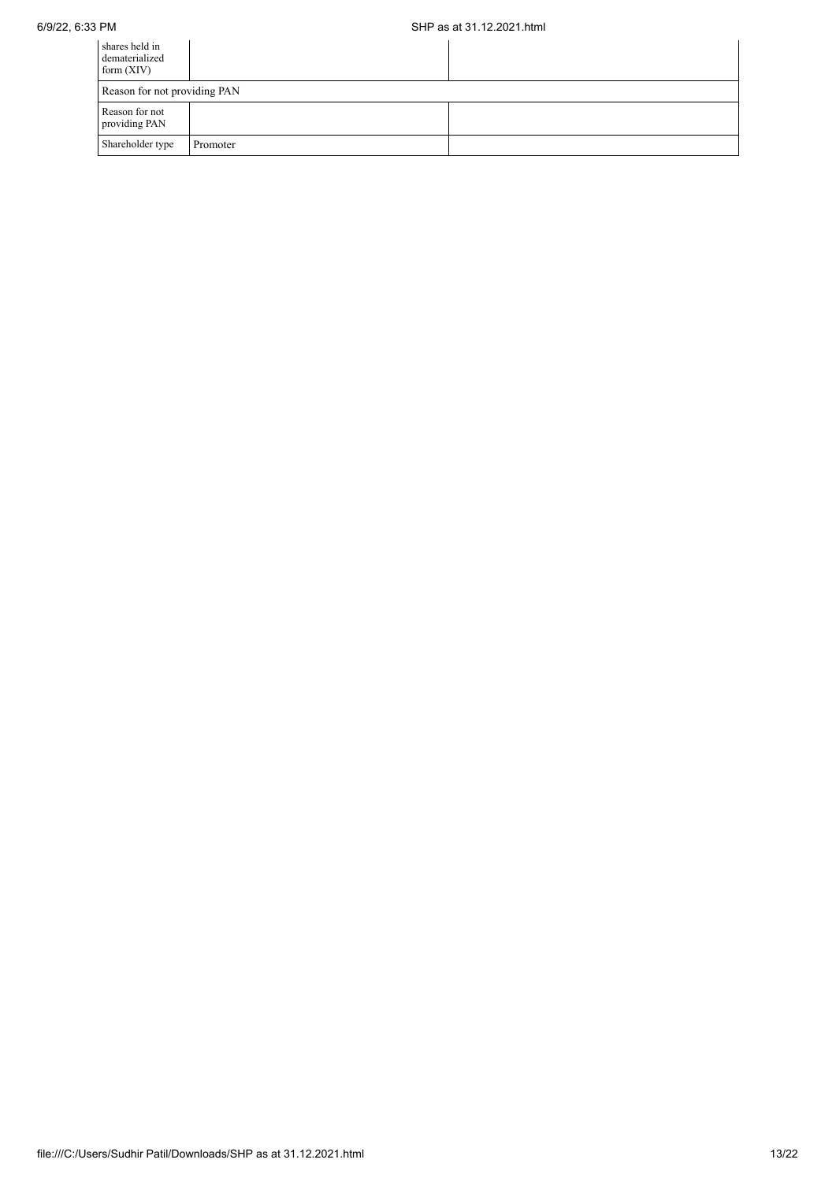| shares held in<br>dematerialized<br>form $(XIV)$ |          |  |
|--------------------------------------------------|----------|--|
| Reason for not providing PAN                     |          |  |
| Reason for not<br>providing PAN                  |          |  |
| Shareholder type                                 | Promoter |  |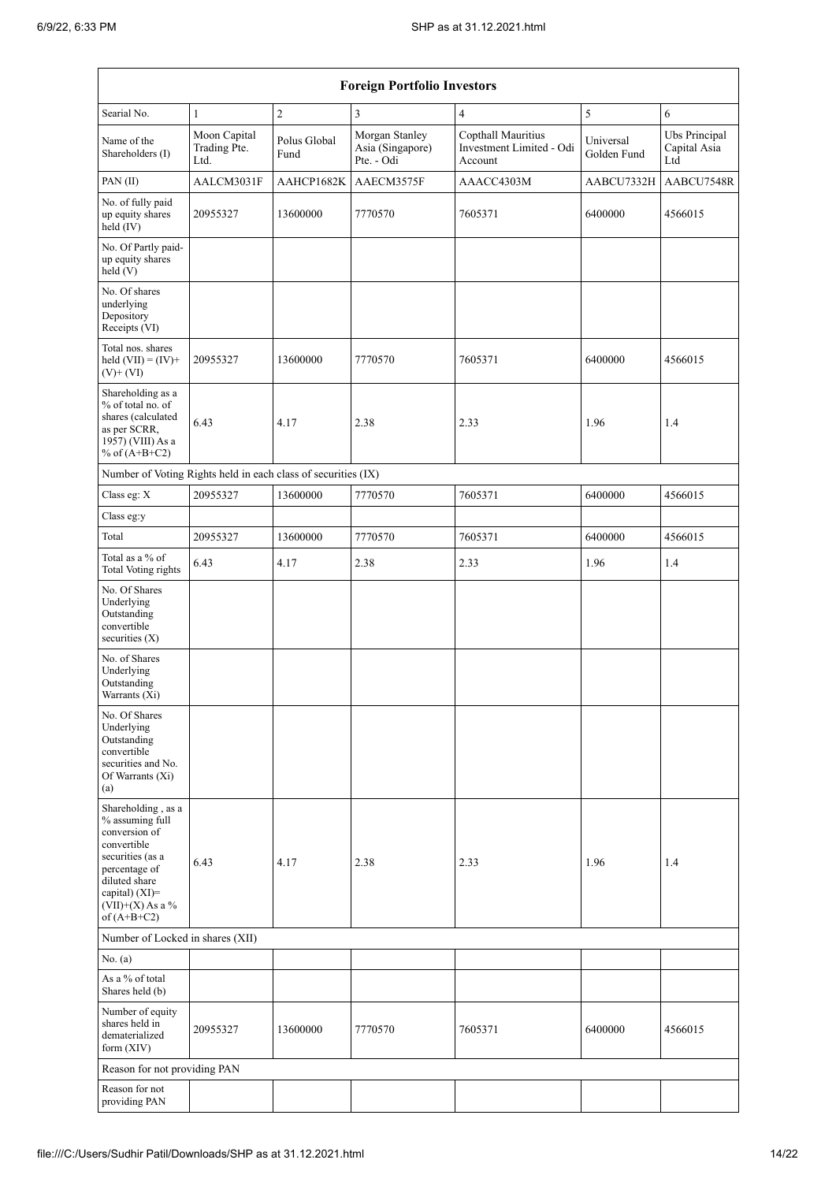| <b>Foreign Portfolio Investors</b>                                                                                                                                                 |                                      |                      |                                                  |                                                           |                          |                                      |  |  |
|------------------------------------------------------------------------------------------------------------------------------------------------------------------------------------|--------------------------------------|----------------------|--------------------------------------------------|-----------------------------------------------------------|--------------------------|--------------------------------------|--|--|
| Searial No.                                                                                                                                                                        | $\mathbf{1}$                         | $\overline{c}$       | 3                                                | $\overline{4}$                                            | 5                        | 6                                    |  |  |
| Name of the<br>Shareholders (I)                                                                                                                                                    | Moon Capital<br>Trading Pte.<br>Ltd. | Polus Global<br>Fund | Morgan Stanley<br>Asia (Singapore)<br>Pte. - Odi | Copthall Mauritius<br>Investment Limited - Odi<br>Account | Universal<br>Golden Fund | Ubs Principal<br>Capital Asia<br>Ltd |  |  |
| PAN(II)                                                                                                                                                                            | AALCM3031F                           | AAHCP1682K           | AAECM3575F                                       | AAACC4303M                                                | AABCU7332H               | AABCU7548R                           |  |  |
| No. of fully paid<br>up equity shares<br>held (IV)                                                                                                                                 | 20955327                             | 13600000             | 7770570                                          | 7605371                                                   | 6400000                  | 4566015                              |  |  |
| No. Of Partly paid-<br>up equity shares<br>held(V)                                                                                                                                 |                                      |                      |                                                  |                                                           |                          |                                      |  |  |
| No. Of shares<br>underlying<br>Depository<br>Receipts (VI)                                                                                                                         |                                      |                      |                                                  |                                                           |                          |                                      |  |  |
| Total nos. shares<br>held $(VII) = (IV) +$<br>$(V)+(VI)$                                                                                                                           | 20955327                             | 13600000             | 7770570                                          | 7605371                                                   | 6400000                  | 4566015                              |  |  |
| Shareholding as a<br>% of total no. of<br>shares (calculated<br>as per SCRR,<br>1957) (VIII) As a<br>% of $(A+B+C2)$                                                               | 6.43                                 | 4.17                 | 2.38                                             | 2.33                                                      | 1.96                     | 1.4                                  |  |  |
| Number of Voting Rights held in each class of securities (IX)                                                                                                                      |                                      |                      |                                                  |                                                           |                          |                                      |  |  |
| Class eg: X                                                                                                                                                                        | 20955327                             | 13600000             | 7770570                                          | 7605371                                                   | 6400000                  | 4566015                              |  |  |
| Class eg:y                                                                                                                                                                         |                                      |                      |                                                  |                                                           |                          |                                      |  |  |
| Total                                                                                                                                                                              | 20955327                             | 13600000             | 7770570                                          | 7605371                                                   | 6400000                  | 4566015                              |  |  |
| Total as a % of<br><b>Total Voting rights</b>                                                                                                                                      | 6.43                                 | 4.17                 | 2.38                                             | 2.33                                                      | 1.96                     | 1.4                                  |  |  |
| No. Of Shares<br>Underlying<br>Outstanding<br>convertible<br>securities (X)                                                                                                        |                                      |                      |                                                  |                                                           |                          |                                      |  |  |
| No. of Shares<br>Underlying<br>Outstanding<br>Warrants (Xi)                                                                                                                        |                                      |                      |                                                  |                                                           |                          |                                      |  |  |
| No. Of Shares<br>Underlying<br>Outstanding<br>convertible<br>securities and No.<br>Of Warrants (Xi)<br>(a)                                                                         |                                      |                      |                                                  |                                                           |                          |                                      |  |  |
| Shareholding, as a<br>% assuming full<br>conversion of<br>convertible<br>securities (as a<br>percentage of<br>diluted share<br>capital) (XI)=<br>(VII)+(X) As a %<br>of $(A+B+C2)$ | 6.43                                 | 4.17                 | 2.38                                             | 2.33                                                      | 1.96                     | 1.4                                  |  |  |
| Number of Locked in shares (XII)                                                                                                                                                   |                                      |                      |                                                  |                                                           |                          |                                      |  |  |
| No. (a)                                                                                                                                                                            |                                      |                      |                                                  |                                                           |                          |                                      |  |  |
| As a % of total<br>Shares held (b)                                                                                                                                                 |                                      |                      |                                                  |                                                           |                          |                                      |  |  |
| Number of equity<br>shares held in<br>dematerialized<br>form $(XIV)$                                                                                                               | 20955327                             | 13600000             | 7770570                                          | 7605371                                                   | 6400000                  | 4566015                              |  |  |
| Reason for not providing PAN                                                                                                                                                       |                                      |                      |                                                  |                                                           |                          |                                      |  |  |
| Reason for not<br>providing PAN                                                                                                                                                    |                                      |                      |                                                  |                                                           |                          |                                      |  |  |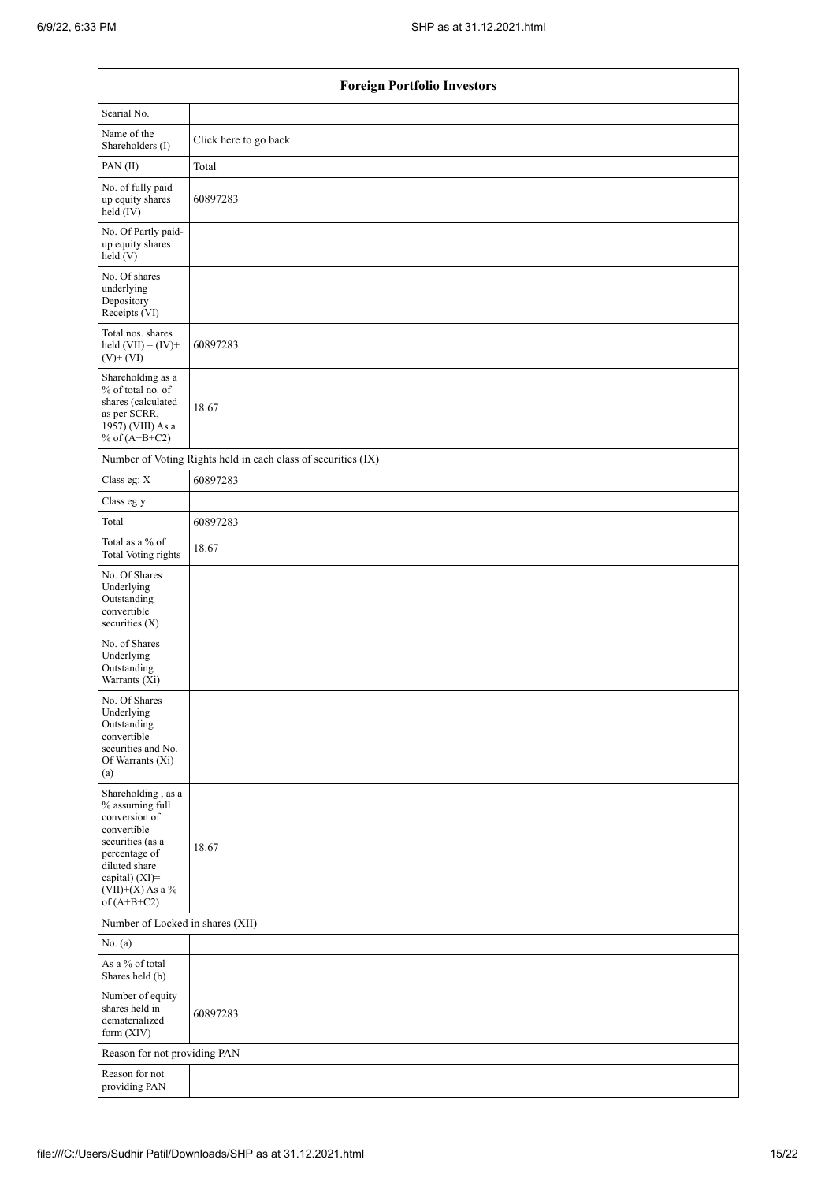|                                                                                                                                                                                      | <b>Foreign Portfolio Investors</b>                            |  |  |  |  |  |  |  |
|--------------------------------------------------------------------------------------------------------------------------------------------------------------------------------------|---------------------------------------------------------------|--|--|--|--|--|--|--|
| Searial No.                                                                                                                                                                          |                                                               |  |  |  |  |  |  |  |
| Name of the<br>Shareholders (I)                                                                                                                                                      | Click here to go back                                         |  |  |  |  |  |  |  |
| PAN (II)                                                                                                                                                                             | Total                                                         |  |  |  |  |  |  |  |
| No. of fully paid<br>up equity shares<br>held (IV)                                                                                                                                   | 60897283                                                      |  |  |  |  |  |  |  |
| No. Of Partly paid-<br>up equity shares<br>held (V)                                                                                                                                  |                                                               |  |  |  |  |  |  |  |
| No. Of shares<br>underlying<br>Depository<br>Receipts (VI)                                                                                                                           |                                                               |  |  |  |  |  |  |  |
| Total nos. shares<br>held $(VII) = (IV) +$<br>$(V)$ + $(VI)$                                                                                                                         | 60897283                                                      |  |  |  |  |  |  |  |
| Shareholding as a<br>% of total no. of<br>shares (calculated<br>as per SCRR,<br>1957) (VIII) As a<br>% of $(A+B+C2)$                                                                 | 18.67                                                         |  |  |  |  |  |  |  |
|                                                                                                                                                                                      | Number of Voting Rights held in each class of securities (IX) |  |  |  |  |  |  |  |
| Class eg: X                                                                                                                                                                          | 60897283                                                      |  |  |  |  |  |  |  |
| Class eg:y                                                                                                                                                                           |                                                               |  |  |  |  |  |  |  |
| Total                                                                                                                                                                                | 60897283                                                      |  |  |  |  |  |  |  |
| Total as a % of<br><b>Total Voting rights</b>                                                                                                                                        | 18.67                                                         |  |  |  |  |  |  |  |
| No. Of Shares<br>Underlying<br>Outstanding<br>convertible<br>securities (X)                                                                                                          |                                                               |  |  |  |  |  |  |  |
| No. of Shares<br>Underlying<br>Outstanding<br>Warrants (Xi)                                                                                                                          |                                                               |  |  |  |  |  |  |  |
| No. Of Shares<br>Underlying<br>Outstanding<br>convertible<br>securities and No.<br>Of Warrants (Xi)<br>(a)                                                                           |                                                               |  |  |  |  |  |  |  |
| Shareholding, as a<br>% assuming full<br>conversion of<br>convertible<br>securities (as a<br>percentage of<br>diluted share<br>capital) (XI)=<br>$(VII)+(X)$ As a %<br>of $(A+B+C2)$ | 18.67                                                         |  |  |  |  |  |  |  |
| Number of Locked in shares (XII)                                                                                                                                                     |                                                               |  |  |  |  |  |  |  |
| No. (a)                                                                                                                                                                              |                                                               |  |  |  |  |  |  |  |
| As a % of total<br>Shares held (b)                                                                                                                                                   |                                                               |  |  |  |  |  |  |  |
| Number of equity<br>shares held in<br>dematerialized<br>form (XIV)                                                                                                                   | 60897283                                                      |  |  |  |  |  |  |  |
| Reason for not providing PAN                                                                                                                                                         |                                                               |  |  |  |  |  |  |  |
| Reason for not<br>providing PAN                                                                                                                                                      |                                                               |  |  |  |  |  |  |  |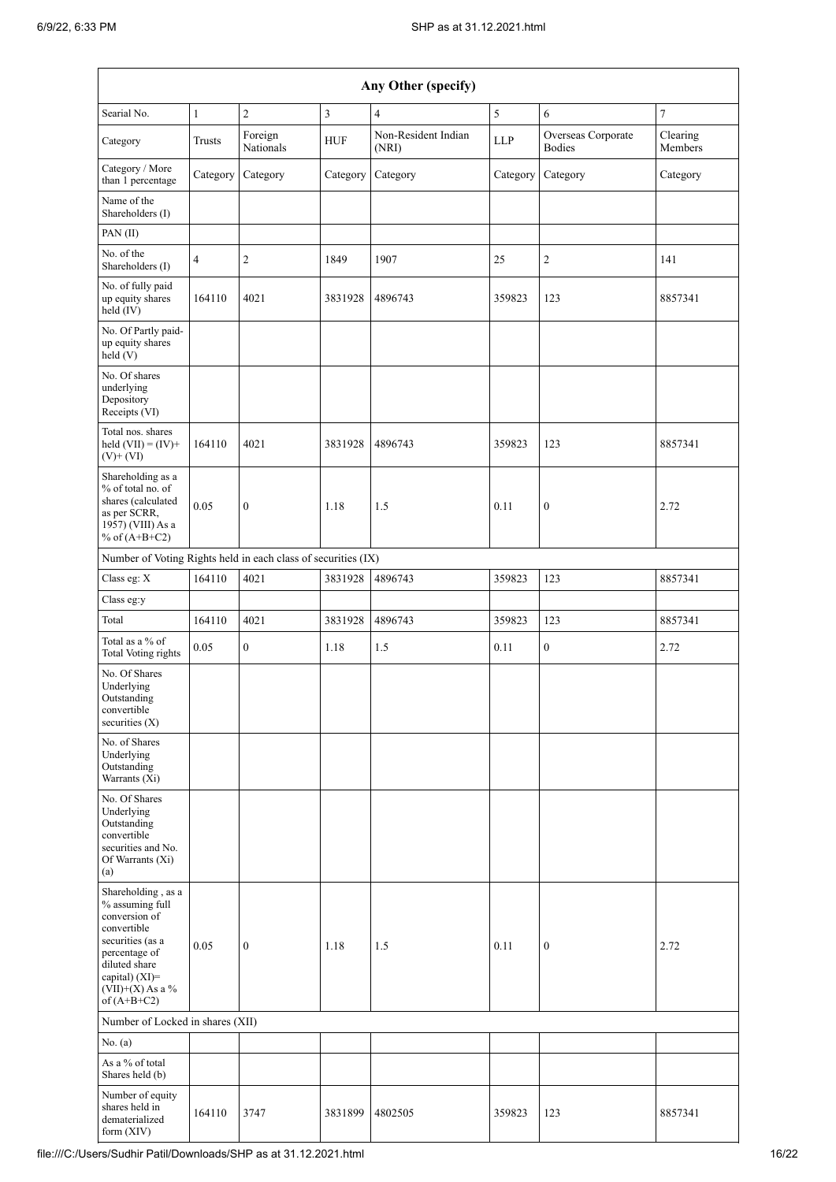|                                                                                                                                                                                       | Any Other (specify) |                      |            |                              |            |                                     |                     |  |  |  |
|---------------------------------------------------------------------------------------------------------------------------------------------------------------------------------------|---------------------|----------------------|------------|------------------------------|------------|-------------------------------------|---------------------|--|--|--|
| Searial No.                                                                                                                                                                           | $\mathbf{1}$        | $\overline{c}$       | 3          | $\overline{4}$               | 5          | 6                                   | $\overline{7}$      |  |  |  |
| Category                                                                                                                                                                              | Trusts              | Foreign<br>Nationals | <b>HUF</b> | Non-Resident Indian<br>(NRI) | <b>LLP</b> | Overseas Corporate<br><b>Bodies</b> | Clearing<br>Members |  |  |  |
| Category / More<br>than 1 percentage                                                                                                                                                  | Category            | Category             | Category   | Category                     | Category   | Category                            | Category            |  |  |  |
| Name of the<br>Shareholders (I)                                                                                                                                                       |                     |                      |            |                              |            |                                     |                     |  |  |  |
| PAN(II)                                                                                                                                                                               |                     |                      |            |                              |            |                                     |                     |  |  |  |
| No. of the<br>Shareholders (I)                                                                                                                                                        | $\overline{4}$      | $\overline{2}$       | 1849       | 1907                         | 25         | $\overline{c}$                      | 141                 |  |  |  |
| No. of fully paid<br>up equity shares<br>held (IV)                                                                                                                                    | 164110              | 4021                 | 3831928    | 4896743                      | 359823     | 123                                 | 8857341             |  |  |  |
| No. Of Partly paid-<br>up equity shares<br>held (V)                                                                                                                                   |                     |                      |            |                              |            |                                     |                     |  |  |  |
| No. Of shares<br>underlying<br>Depository<br>Receipts (VI)                                                                                                                            |                     |                      |            |                              |            |                                     |                     |  |  |  |
| Total nos. shares<br>held $(VII) = (IV) +$<br>$(V)$ + $(VI)$                                                                                                                          | 164110              | 4021                 | 3831928    | 4896743                      | 359823     | 123                                 | 8857341             |  |  |  |
| Shareholding as a<br>% of total no. of<br>shares (calculated<br>as per SCRR,<br>1957) (VIII) As a<br>% of $(A+B+C2)$                                                                  | 0.05                | $\boldsymbol{0}$     | 1.18       | 1.5                          | 0.11       | $\boldsymbol{0}$                    | 2.72                |  |  |  |
| Number of Voting Rights held in each class of securities (IX)                                                                                                                         |                     |                      |            |                              |            |                                     |                     |  |  |  |
| Class eg: X                                                                                                                                                                           | 164110              | 4021                 | 3831928    | 4896743                      | 359823     | 123                                 | 8857341             |  |  |  |
| Class eg:y                                                                                                                                                                            |                     |                      |            |                              |            |                                     |                     |  |  |  |
| Total                                                                                                                                                                                 | 164110              | 4021                 | 3831928    | 4896743                      | 359823     | 123                                 | 8857341             |  |  |  |
| Total as a % of<br>Total Voting rights                                                                                                                                                | 0.05                | $\boldsymbol{0}$     | 1.18       | 1.5                          | 0.11       | $\boldsymbol{0}$                    | 2.72                |  |  |  |
| No. Of Shares<br>Underlying<br>Outstanding<br>convertible<br>securities $(X)$                                                                                                         |                     |                      |            |                              |            |                                     |                     |  |  |  |
| No. of Shares<br>Underlying<br>Outstanding<br>Warrants (Xi)                                                                                                                           |                     |                      |            |                              |            |                                     |                     |  |  |  |
| No. Of Shares<br>Underlying<br>Outstanding<br>convertible<br>securities and No.<br>Of Warrants (Xi)<br>(a)                                                                            |                     |                      |            |                              |            |                                     |                     |  |  |  |
| Shareholding, as a<br>% assuming full<br>conversion of<br>convertible<br>securities (as a<br>percentage of<br>diluted share<br>capital) (XI)=<br>(VII)+(X) As a $\%$<br>of $(A+B+C2)$ | 0.05                | $\boldsymbol{0}$     | 1.18       | 1.5                          | 0.11       | 0                                   | 2.72                |  |  |  |
| Number of Locked in shares (XII)                                                                                                                                                      |                     |                      |            |                              |            |                                     |                     |  |  |  |
| No. (a)                                                                                                                                                                               |                     |                      |            |                              |            |                                     |                     |  |  |  |
| As a % of total<br>Shares held (b)                                                                                                                                                    |                     |                      |            |                              |            |                                     |                     |  |  |  |
| Number of equity<br>shares held in<br>dematerialized<br>form $(XIV)$                                                                                                                  | 164110              | 3747                 | 3831899    | 4802505                      | 359823     | 123                                 | 8857341             |  |  |  |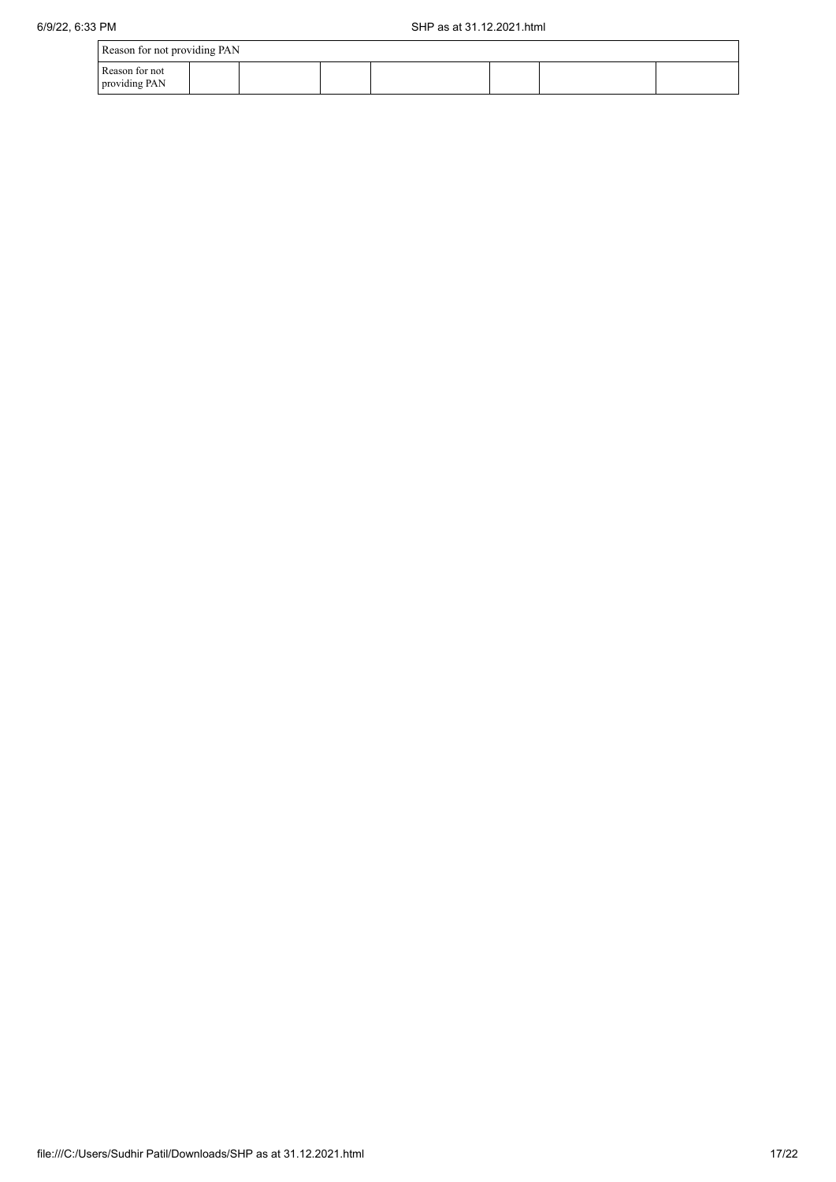| Reason for not providing PAN    |  |  |  |  |  |  |  |
|---------------------------------|--|--|--|--|--|--|--|
| Reason for not<br>providing PAN |  |  |  |  |  |  |  |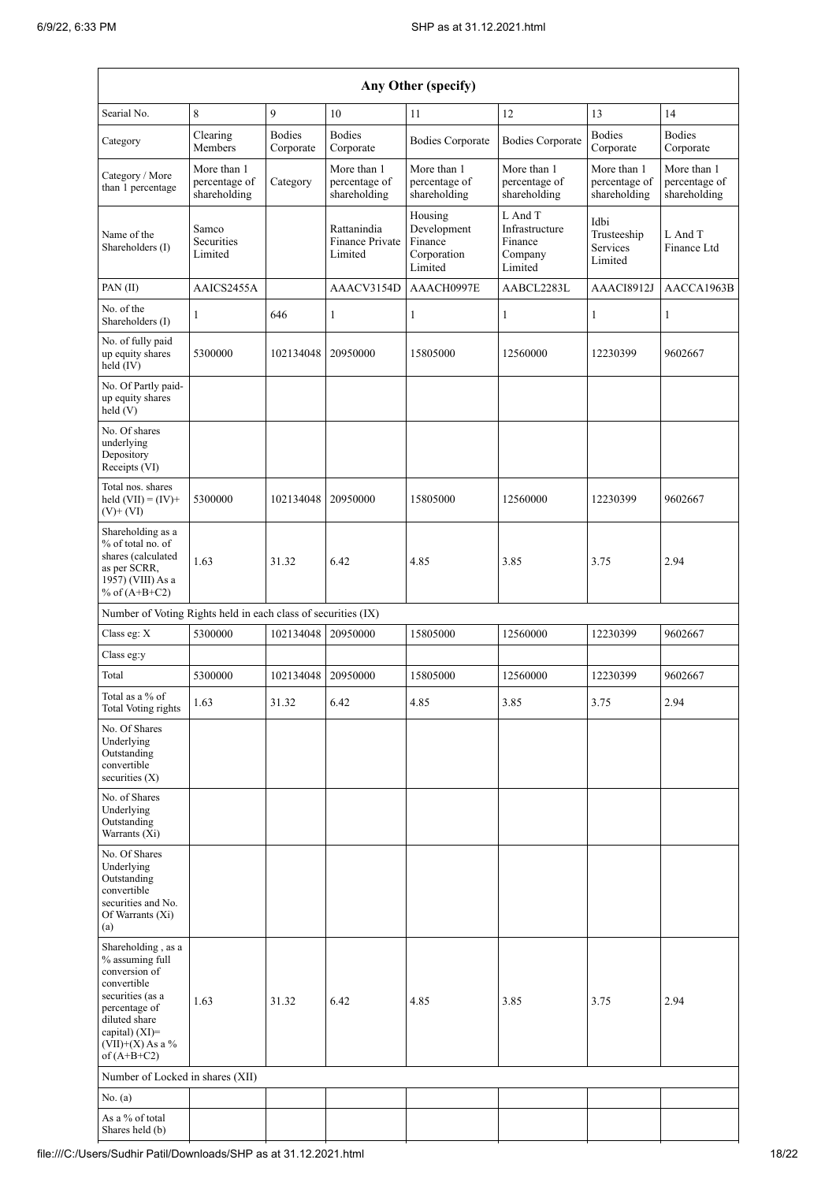| Any Other (specify)                                                                                                                                                                  |                                              |                            |                                                  |                                                             |                                                            |                                              |                                              |  |  |
|--------------------------------------------------------------------------------------------------------------------------------------------------------------------------------------|----------------------------------------------|----------------------------|--------------------------------------------------|-------------------------------------------------------------|------------------------------------------------------------|----------------------------------------------|----------------------------------------------|--|--|
| Searial No.                                                                                                                                                                          | 8                                            | 9                          | 10                                               | 11                                                          | 12                                                         | 13                                           | 14                                           |  |  |
| Category                                                                                                                                                                             | Clearing<br>Members                          | <b>Bodies</b><br>Corporate | <b>Bodies</b><br>Corporate                       | <b>Bodies Corporate</b>                                     | <b>Bodies Corporate</b>                                    | <b>Bodies</b><br>Corporate                   | <b>Bodies</b><br>Corporate                   |  |  |
| Category / More<br>than 1 percentage                                                                                                                                                 | More than 1<br>percentage of<br>shareholding | Category                   | More than 1<br>percentage of<br>shareholding     | More than 1<br>percentage of<br>shareholding                | More than 1<br>percentage of<br>shareholding               | More than 1<br>percentage of<br>shareholding | More than 1<br>percentage of<br>shareholding |  |  |
| Name of the<br>Shareholders (I)                                                                                                                                                      | Samco<br>Securities<br>Limited               |                            | Rattanindia<br><b>Finance Private</b><br>Limited | Housing<br>Development<br>Finance<br>Corporation<br>Limited | L And T<br>Infrastructure<br>Finance<br>Company<br>Limited | Idbi<br>Trusteeship<br>Services<br>Limited   | L And T<br>Finance Ltd                       |  |  |
| PAN(II)                                                                                                                                                                              | AAICS2455A                                   |                            | AAACV3154D                                       | AAACH0997E                                                  | AABCL2283L                                                 | AAACI8912J                                   | AACCA1963B                                   |  |  |
| No. of the<br>Shareholders (I)                                                                                                                                                       | 1                                            | 646                        | $\mathbf{1}$                                     | 1                                                           | 1                                                          | $\mathbf{1}$                                 | $\mathbf{1}$                                 |  |  |
| No. of fully paid<br>up equity shares<br>held (IV)                                                                                                                                   | 5300000                                      | 102134048                  | 20950000                                         | 15805000                                                    | 12560000                                                   | 12230399                                     | 9602667                                      |  |  |
| No. Of Partly paid-<br>up equity shares<br>held(V)                                                                                                                                   |                                              |                            |                                                  |                                                             |                                                            |                                              |                                              |  |  |
| No. Of shares<br>underlying<br>Depository<br>Receipts (VI)                                                                                                                           |                                              |                            |                                                  |                                                             |                                                            |                                              |                                              |  |  |
| Total nos. shares<br>held $(VII) = (IV) +$<br>$(V)$ + $(VI)$                                                                                                                         | 5300000                                      | 102134048                  | 20950000                                         | 15805000                                                    | 12560000                                                   | 12230399                                     | 9602667                                      |  |  |
| Shareholding as a<br>% of total no. of<br>shares (calculated<br>as per SCRR,<br>1957) (VIII) As a<br>% of $(A+B+C2)$                                                                 | 1.63                                         | 31.32                      | 6.42                                             | 4.85                                                        | 3.85                                                       | 3.75                                         | 2.94                                         |  |  |
| Number of Voting Rights held in each class of securities (IX)                                                                                                                        |                                              |                            |                                                  |                                                             |                                                            |                                              |                                              |  |  |
| Class eg: X                                                                                                                                                                          | 5300000                                      | 102134048                  | 20950000                                         | 15805000                                                    | 12560000                                                   | 12230399                                     | 9602667                                      |  |  |
| Class eg:y                                                                                                                                                                           |                                              |                            |                                                  |                                                             |                                                            |                                              |                                              |  |  |
| Total                                                                                                                                                                                | 5300000                                      | 102134048                  | 20950000                                         | 15805000                                                    | 12560000                                                   | 12230399                                     | 9602667                                      |  |  |
| Total as a $\%$ of<br><b>Total Voting rights</b>                                                                                                                                     | 1.63                                         | 31.32                      | 6.42                                             | 4.85                                                        | 3.85                                                       | 3.75                                         | 2.94                                         |  |  |
| No. Of Shares<br>Underlying<br>Outstanding<br>convertible<br>securities $(X)$                                                                                                        |                                              |                            |                                                  |                                                             |                                                            |                                              |                                              |  |  |
| No. of Shares<br>Underlying<br>Outstanding<br>Warrants (Xi)                                                                                                                          |                                              |                            |                                                  |                                                             |                                                            |                                              |                                              |  |  |
| No. Of Shares<br>Underlying<br>Outstanding<br>convertible<br>securities and No.<br>Of Warrants (Xi)<br>(a)                                                                           |                                              |                            |                                                  |                                                             |                                                            |                                              |                                              |  |  |
| Shareholding, as a<br>% assuming full<br>conversion of<br>convertible<br>securities (as a<br>percentage of<br>diluted share<br>capital) (XI)=<br>$(VII)+(X)$ As a %<br>of $(A+B+C2)$ | 1.63                                         | 31.32                      | 6.42                                             | 4.85                                                        | 3.85                                                       | 3.75                                         | 2.94                                         |  |  |
| Number of Locked in shares (XII)                                                                                                                                                     |                                              |                            |                                                  |                                                             |                                                            |                                              |                                              |  |  |
| No. (a)                                                                                                                                                                              |                                              |                            |                                                  |                                                             |                                                            |                                              |                                              |  |  |
| As a % of total<br>Shares held (b)                                                                                                                                                   |                                              |                            |                                                  |                                                             |                                                            |                                              |                                              |  |  |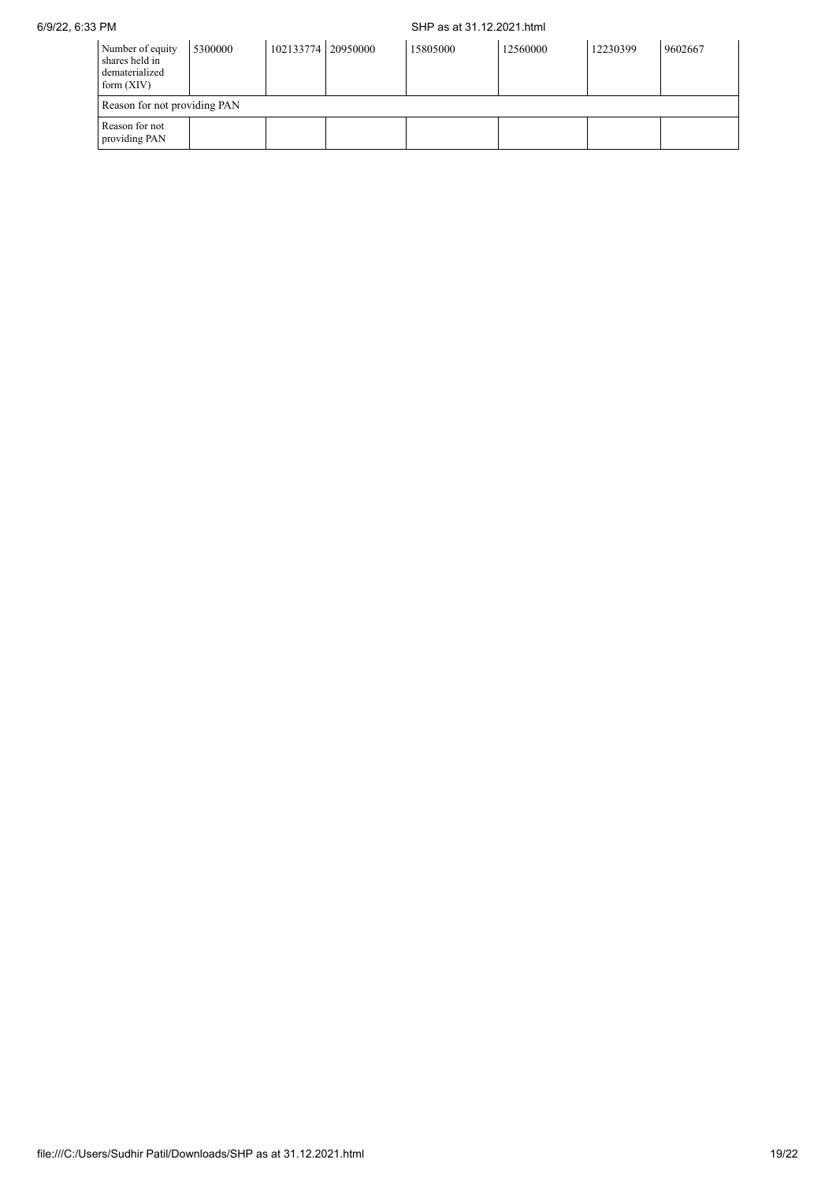## 6/9/22, 6:33 PM SHP as at 31.12.2021.html

| Number of equity<br>shares held in<br>dematerialized<br>form $(XIV)$ | 5300000 | 102133774   20950000 | 15805000 | 12560000 | 12230399 | 9602667 |
|----------------------------------------------------------------------|---------|----------------------|----------|----------|----------|---------|
| Reason for not providing PAN                                         |         |                      |          |          |          |         |
| Reason for not<br>providing PAN                                      |         |                      |          |          |          |         |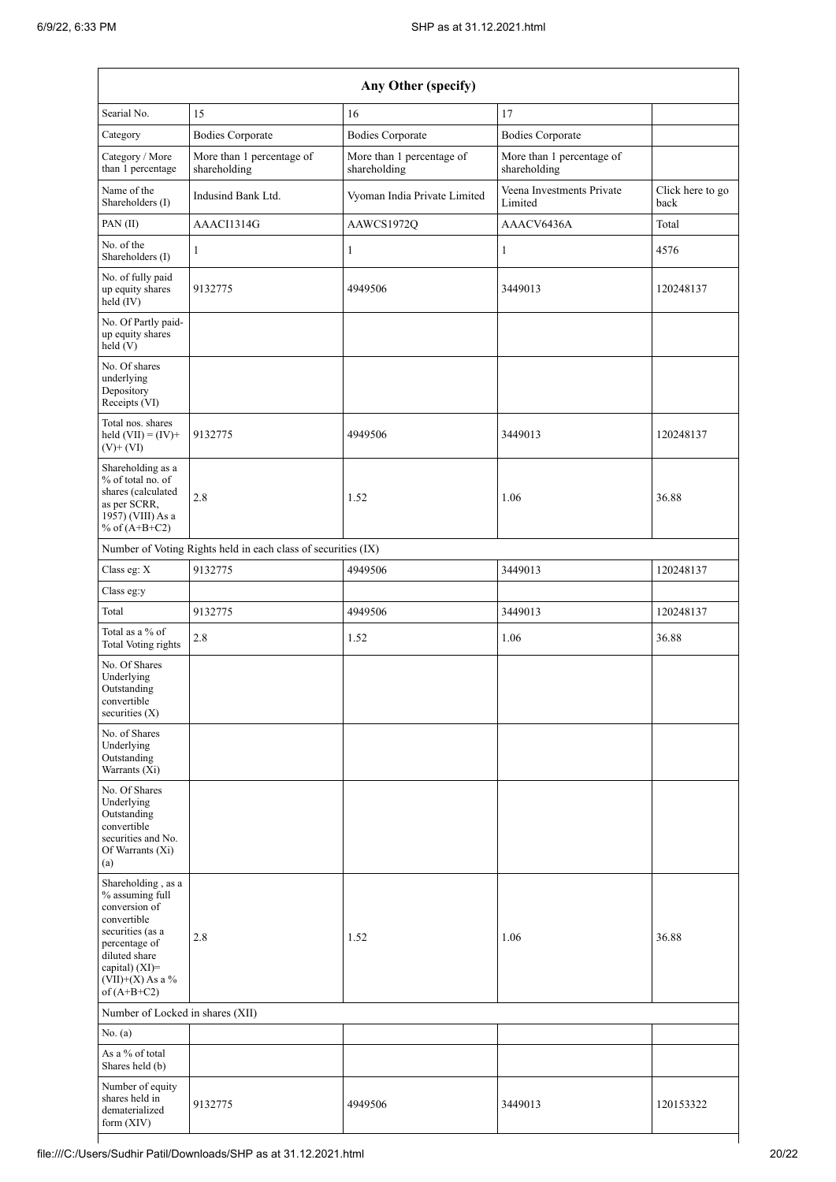| Any Other (specify)                                                                                                                                                                  |                                                               |                                           |                                           |                          |  |  |  |  |
|--------------------------------------------------------------------------------------------------------------------------------------------------------------------------------------|---------------------------------------------------------------|-------------------------------------------|-------------------------------------------|--------------------------|--|--|--|--|
| Searial No.                                                                                                                                                                          | 15                                                            | 16                                        | 17                                        |                          |  |  |  |  |
| Category                                                                                                                                                                             | <b>Bodies Corporate</b>                                       | <b>Bodies Corporate</b>                   | <b>Bodies Corporate</b>                   |                          |  |  |  |  |
| Category / More<br>than 1 percentage                                                                                                                                                 | More than 1 percentage of<br>shareholding                     | More than 1 percentage of<br>shareholding | More than 1 percentage of<br>shareholding |                          |  |  |  |  |
| Name of the<br>Shareholders (I)                                                                                                                                                      | Indusind Bank Ltd.                                            | Vyoman India Private Limited              | Veena Investments Private<br>Limited      | Click here to go<br>back |  |  |  |  |
| PAN(II)                                                                                                                                                                              | AAACI1314G                                                    | AAWCS1972Q                                | AAACV6436A                                | Total                    |  |  |  |  |
| No. of the<br>Shareholders (I)                                                                                                                                                       | 1                                                             | 1                                         | $\mathbf{1}$                              | 4576                     |  |  |  |  |
| No. of fully paid<br>up equity shares<br>held (IV)                                                                                                                                   | 9132775                                                       | 4949506                                   | 3449013                                   | 120248137                |  |  |  |  |
| No. Of Partly paid-<br>up equity shares<br>held(V)                                                                                                                                   |                                                               |                                           |                                           |                          |  |  |  |  |
| No. Of shares<br>underlying<br>Depository<br>Receipts (VI)                                                                                                                           |                                                               |                                           |                                           |                          |  |  |  |  |
| Total nos. shares<br>held $(VII) = (IV) +$<br>$(V)+(VI)$                                                                                                                             | 9132775                                                       | 4949506                                   | 3449013                                   | 120248137                |  |  |  |  |
| Shareholding as a<br>% of total no. of<br>shares (calculated<br>as per SCRR,<br>1957) (VIII) As a<br>% of $(A+B+C2)$                                                                 | 2.8                                                           | 1.52                                      | 1.06                                      | 36.88                    |  |  |  |  |
|                                                                                                                                                                                      | Number of Voting Rights held in each class of securities (IX) |                                           |                                           |                          |  |  |  |  |
| Class eg: X                                                                                                                                                                          | 9132775                                                       | 4949506                                   | 3449013                                   | 120248137                |  |  |  |  |
| Class eg:y                                                                                                                                                                           |                                                               |                                           |                                           |                          |  |  |  |  |
| Total                                                                                                                                                                                | 9132775                                                       | 4949506                                   | 3449013                                   | 120248137                |  |  |  |  |
| Total as a % of<br>Total Voting rights                                                                                                                                               | 2.8                                                           | 1.52                                      | 1.06                                      | 36.88                    |  |  |  |  |
| No. Of Shares<br>Underlying<br>Outstanding<br>convertible<br>securities $(X)$                                                                                                        |                                                               |                                           |                                           |                          |  |  |  |  |
| No. of Shares<br>Underlying<br>Outstanding<br>Warrants (Xi)                                                                                                                          |                                                               |                                           |                                           |                          |  |  |  |  |
| No. Of Shares<br>Underlying<br>Outstanding<br>convertible<br>securities and No.<br>Of Warrants (Xi)<br>(a)                                                                           |                                                               |                                           |                                           |                          |  |  |  |  |
| Shareholding, as a<br>% assuming full<br>conversion of<br>convertible<br>securities (as a<br>percentage of<br>diluted share<br>capital) (XI)=<br>$(VII)+(X)$ As a %<br>of $(A+B+C2)$ | 2.8                                                           | 1.52                                      | 1.06                                      | 36.88                    |  |  |  |  |
| Number of Locked in shares (XII)                                                                                                                                                     |                                                               |                                           |                                           |                          |  |  |  |  |
| No. $(a)$                                                                                                                                                                            |                                                               |                                           |                                           |                          |  |  |  |  |
| As a % of total<br>Shares held (b)                                                                                                                                                   |                                                               |                                           |                                           |                          |  |  |  |  |
| Number of equity<br>shares held in<br>dematerialized<br>form (XIV)                                                                                                                   | 9132775                                                       | 4949506                                   | 3449013                                   | 120153322                |  |  |  |  |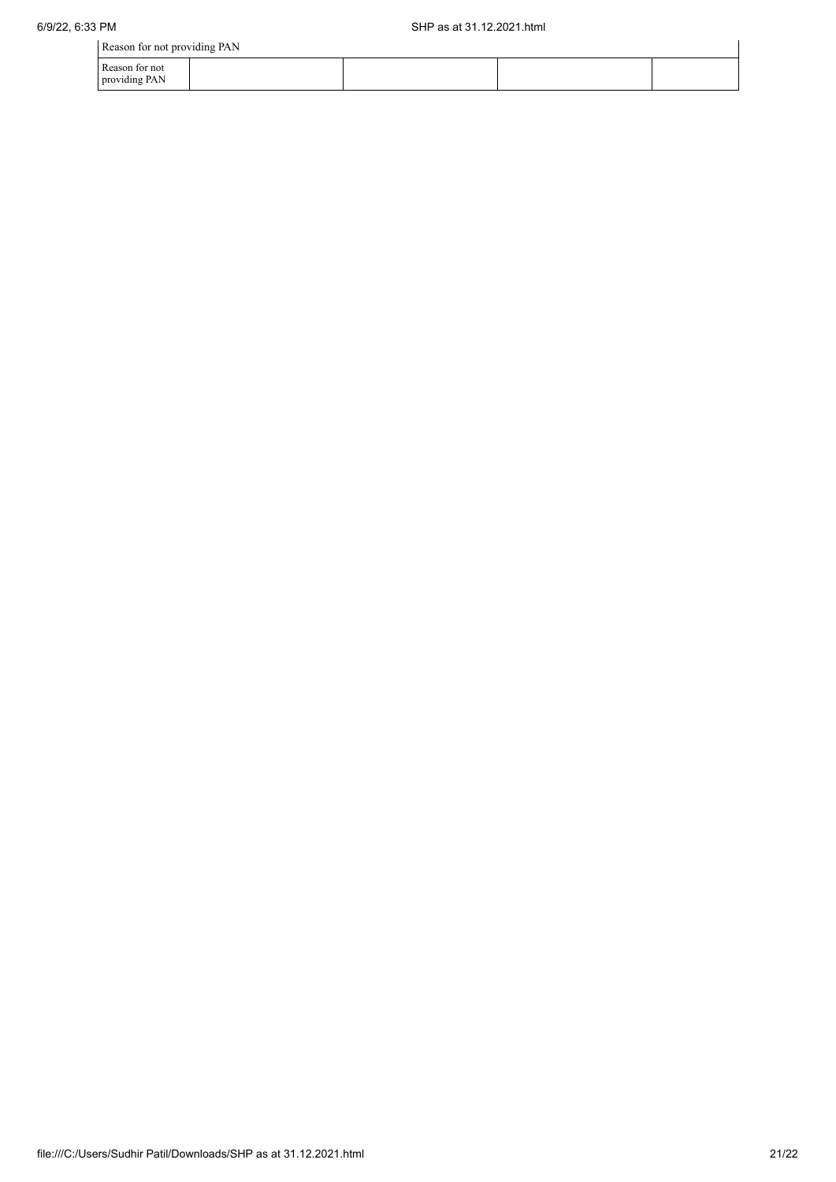| Reason for not providing PAN    |  |  |
|---------------------------------|--|--|
| Reason for not<br>providing PAN |  |  |